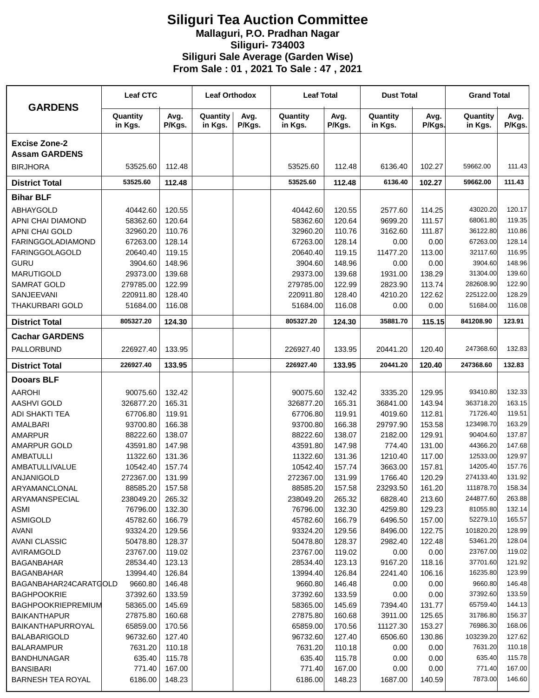## **Siliguri Tea Auction Committee Mallaguri, P.O. Pradhan Nagar Siliguri- 734003 Siliguri Sale Average (Garden Wise) From Sale : 01 , 2021 To Sale : 47 , 2021**

| <b>GARDENS</b>                               | <b>Leaf CTC</b>      |                  | <b>Leaf Orthodox</b> |                | <b>Leaf Total</b>    |                  | <b>Dust Total</b>   |                  | <b>Grand Total</b>    |                  |
|----------------------------------------------|----------------------|------------------|----------------------|----------------|----------------------|------------------|---------------------|------------------|-----------------------|------------------|
|                                              | Quantity<br>in Kgs.  | Avg.<br>P/Kgs.   | Quantity<br>in Kgs.  | Avg.<br>P/Kgs. | Quantity<br>in Kgs.  | Avg.<br>P/Kgs.   | Quantity<br>in Kgs. | Avg.<br>P/Kgs.   | Quantity<br>in Kgs.   | Avg.<br>P/Kgs.   |
| <b>Excise Zone-2</b><br><b>Assam GARDENS</b> |                      |                  |                      |                |                      |                  |                     |                  |                       |                  |
| <b>BIRJHORA</b>                              | 53525.60             | 112.48           |                      |                | 53525.60             | 112.48           | 6136.40             | 102.27           | 59662.00              | 111.43           |
| <b>District Total</b>                        | 53525.60             | 112.48           |                      |                | 53525.60             | 112.48           | 6136.40             | 102.27           | 59662.00              | 111.43           |
| <b>Bihar BLF</b>                             |                      |                  |                      |                |                      |                  |                     |                  |                       |                  |
| <b>ABHAYGOLD</b>                             | 40442.60             | 120.55           |                      |                | 40442.60             | 120.55           | 2577.60             | 114.25           | 43020.20              | 120.17           |
| APNI CHAI DIAMOND                            | 58362.60             | 120.64           |                      |                | 58362.60             | 120.64           | 9699.20             | 111.57           | 68061.80              | 119.35           |
| APNI CHAI GOLD                               | 32960.20             | 110.76           |                      |                | 32960.20             | 110.76           | 3162.60             | 111.87           | 36122.80              | 110.86           |
| <b>FARINGGOLADIAMOND</b>                     | 67263.00             | 128.14           |                      |                | 67263.00             | 128.14           | 0.00                | 0.00             | 67263.00              | 128.14           |
| <b>FARINGGOLAGOLD</b>                        | 20640.40             | 119.15           |                      |                | 20640.40             | 119.15           | 11477.20            | 113.00           | 32117.60              | 116.95           |
| <b>GURU</b>                                  | 3904.60              | 148.96           |                      |                | 3904.60              | 148.96           | 0.00                | 0.00             | 3904.60               | 148.96           |
| <b>MARUTIGOLD</b>                            | 29373.00             | 139.68           |                      |                | 29373.00             | 139.68           | 1931.00             | 138.29           | 31304.00              | 139.60           |
| <b>SAMRAT GOLD</b>                           | 279785.00            | 122.99           |                      |                | 279785.00            | 122.99           | 2823.90             | 113.74           | 282608.90             | 122.90           |
| <b>SANJEEVANI</b>                            | 220911.80            | 128.40           |                      |                | 220911.80            | 128.40           | 4210.20             | 122.62           | 225122.00             | 128.29           |
| <b>THAKURBARI GOLD</b>                       | 51684.00             | 116.08           |                      |                | 51684.00             | 116.08           | 0.00                | 0.00             | 51684.00              | 116.08           |
| <b>District Total</b>                        | 805327.20            | 124.30           |                      |                | 805327.20            | 124.30           | 35881.70            | 115.15           | 841208.90             | 123.91           |
| <b>Cachar GARDENS</b>                        |                      |                  |                      |                |                      |                  |                     |                  |                       |                  |
| PALLORBUND                                   | 226927.40            | 133.95           |                      |                | 226927.40            | 133.95           | 20441.20            | 120.40           | 247368.60             | 132.83           |
| <b>District Total</b>                        | 226927.40            | 133.95           |                      |                | 226927.40            | 133.95           | 20441.20            | 120.40           | 247368.60             | 132.83           |
| <b>Dooars BLF</b>                            |                      |                  |                      |                |                      |                  |                     |                  |                       |                  |
| <b>AAROHI</b>                                | 90075.60             | 132.42           |                      |                | 90075.60             | 132.42           | 3335.20             | 129.95           | 93410.80              | 132.33           |
| <b>AASHVI GOLD</b>                           | 326877.20            | 165.31           |                      |                | 326877.20            | 165.31           | 36841.00            | 143.94           | 363718.20             | 163.15           |
| <b>ADI SHAKTI TEA</b>                        | 67706.80             | 119.91           |                      |                | 67706.80             | 119.91           | 4019.60             | 112.81           | 71726.40              | 119.51           |
| AMALBARI                                     | 93700.80             | 166.38           |                      |                | 93700.80             | 166.38           | 29797.90            | 153.58           | 123498.70             | 163.29           |
| <b>AMARPUR</b>                               | 88222.60             | 138.07           |                      |                | 88222.60             | 138.07           | 2182.00             | 129.91           | 90404.60              | 137.87           |
| <b>AMARPUR GOLD</b>                          | 43591.80             | 147.98           |                      |                | 43591.80             | 147.98           | 774.40              | 131.00           | 44366.20              | 147.68           |
| <b>AMBATULLI</b>                             | 11322.60             | 131.36           |                      |                | 11322.60             | 131.36           | 1210.40             | 117.00           | 12533.00              | 129.97           |
| AMBATULLIVALUE                               | 10542.40             | 157.74           |                      |                | 10542.40             | 157.74           | 3663.00             | 157.81           | 14205.40              | 157.76           |
| <b>ANJANIGOLD</b>                            | 272367.00            | 131.99           |                      |                | 272367.00            | 131.99           | 1766.40             | 120.29           | 274133.40             | 131.92           |
| ARYAMANCLONAL                                | 88585.20             | 157.58           |                      |                | 88585.20             | 157.58           | 23293.50            | 161.20           | 111878.70             | 158.34           |
| ARYAMANSPECIAL                               | 238049.20            | 265.32           |                      |                | 238049.20            | 265.32           | 6828.40             | 213.60           | 244877.60             | 263.88           |
| <b>ASMI</b>                                  | 76796.00             | 132.30           |                      |                | 76796.00             | 132.30           | 4259.80             | 129.23           | 81055.80              | 132.14           |
| <b>ASMIGOLD</b>                              | 45782.60             | 166.79           |                      |                | 45782.60             | 166.79           | 6496.50             | 157.00           | 52279.10              | 165.57           |
| <b>AVANI</b>                                 | 93324.20             | 129.56           |                      |                | 93324.20             | 129.56           | 8496.00             | 122.75           | 101820.20             | 128.99           |
| <b>AVANI CLASSIC</b>                         | 50478.80             | 128.37           |                      |                | 50478.80             | 128.37           | 2982.40             | 122.48           | 53461.20              | 128.04           |
| AVIRAMGOLD                                   | 23767.00             | 119.02           |                      |                | 23767.00             | 119.02           | 0.00                | 0.00             | 23767.00              | 119.02           |
| <b>BAGANBAHAR</b>                            | 28534.40             | 123.13           |                      |                | 28534.40             | 123.13           | 9167.20             | 118.16           | 37701.60              | 121.92           |
| <b>BAGANBAHAR</b>                            | 13994.40             | 126.84           |                      |                | 13994.40             | 126.84           | 2241.40             | 106.16           | 16235.80              | 123.99           |
| BAGANBAHAR24CARATGOLD                        | 9660.80              | 146.48           |                      |                | 9660.80              | 146.48           | 0.00                | 0.00             | 9660.80               | 146.48           |
| <b>BAGHPOOKRIE</b>                           | 37392.60             | 133.59           |                      |                | 37392.60             | 133.59           | 0.00                | 0.00             | 37392.60              | 133.59           |
| <b>BAGHPOOKRIEPREMIUM</b>                    | 58365.00             | 145.69           |                      |                | 58365.00             | 145.69           | 7394.40             | 131.77           | 65759.40              | 144.13           |
| <b>BAIKANTHAPUR</b>                          | 27875.80             | 160.68           |                      |                | 27875.80             | 160.68           | 3911.00             | 125.65           | 31786.80              | 156.37           |
| BAIKANTHAPURROYAL                            | 65859.00<br>96732.60 | 170.56<br>127.40 |                      |                | 65859.00<br>96732.60 | 170.56<br>127.40 | 11127.30<br>6506.60 | 153.27<br>130.86 | 76986.30<br>103239.20 | 168.06<br>127.62 |
| <b>BALABARIGOLD</b><br><b>BALARAMPUR</b>     | 7631.20              | 110.18           |                      |                | 7631.20              | 110.18           | 0.00                | 0.00             | 7631.20               | 110.18           |
| <b>BANDHUNAGAR</b>                           | 635.40               | 115.78           |                      |                | 635.40               | 115.78           | 0.00                | 0.00             | 635.40                | 115.78           |
| <b>BANSIBARI</b>                             | 771.40               | 167.00           |                      |                | 771.40               | 167.00           | 0.00                | 0.00             | 771.40                | 167.00           |
| <b>BARNESH TEA ROYAL</b>                     | 6186.00              | 148.23           |                      |                | 6186.00              | 148.23           | 1687.00             | 140.59           | 7873.00               | 146.60           |
|                                              |                      |                  |                      |                |                      |                  |                     |                  |                       |                  |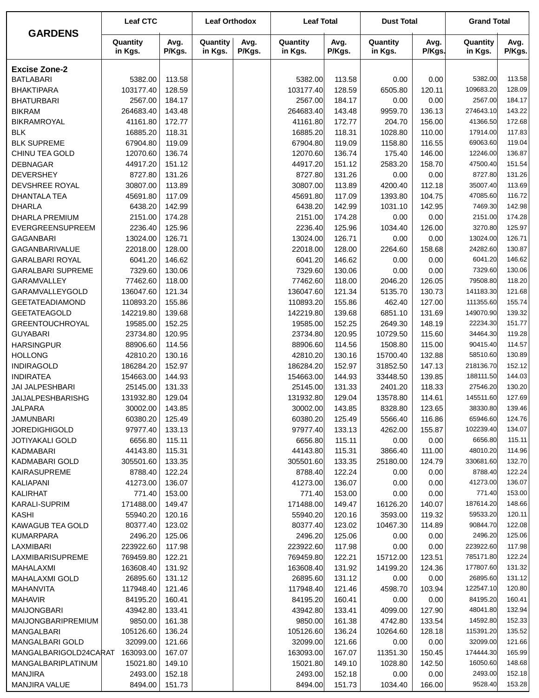|                                           | <b>Leaf CTC</b>      |                  | <b>Leaf Orthodox</b> |                | <b>Leaf Total</b>    |                  | <b>Dust Total</b>   |                  | <b>Grand Total</b>   |                  |
|-------------------------------------------|----------------------|------------------|----------------------|----------------|----------------------|------------------|---------------------|------------------|----------------------|------------------|
| <b>GARDENS</b>                            | Quantity<br>in Kgs.  | Avg.<br>P/Kgs.   | Quantity<br>in Kgs.  | Avg.<br>P/Kgs. | Quantity<br>in Kgs.  | Avg.<br>P/Kgs.   | Quantity<br>in Kgs. | Avg.<br>P/Kgs.   | Quantity<br>in Kgs.  | Avg.<br>P/Kgs.   |
| <b>Excise Zone-2</b>                      |                      |                  |                      |                |                      |                  |                     |                  |                      |                  |
| <b>BATLABARI</b>                          | 5382.00              | 113.58           |                      |                | 5382.00              | 113.58           | 0.00                | 0.00             | 5382.00              | 113.58           |
| <b>BHAKTIPARA</b>                         | 103177.40            | 128.59           |                      |                | 103177.40            | 128.59           | 6505.80             | 120.11           | 109683.20            | 128.09           |
| <b>BHATURBARI</b>                         | 2567.00              | 184.17           |                      |                | 2567.00              | 184.17           | 0.00                | 0.00             | 2567.00              | 184.17           |
| <b>BIKRAM</b>                             | 264683.40            | 143.48           |                      |                | 264683.40            | 143.48           | 9959.70             | 136.13           | 274643.10            | 143.22           |
| <b>BIKRAMROYAL</b>                        | 41161.80             | 172.77           |                      |                | 41161.80             | 172.77           | 204.70              | 156.00           | 41366.50             | 172.68           |
| <b>BLK</b>                                | 16885.20             | 118.31           |                      |                | 16885.20             | 118.31           | 1028.80             | 110.00           | 17914.00             | 117.83           |
| <b>BLK SUPREME</b>                        | 67904.80             | 119.09           |                      |                | 67904.80             | 119.09           | 1158.80             | 116.55           | 69063.60             | 119.04           |
| CHINU TEA GOLD                            | 12070.60             | 136.74           |                      |                | 12070.60             | 136.74           | 175.40              | 146.00           | 12246.00             | 136.87           |
| <b>DEBNAGAR</b>                           | 44917.20             | 151.12           |                      |                | 44917.20             | 151.12           | 2583.20             | 158.70           | 47500.40             | 151.54           |
| <b>DEVERSHEY</b>                          | 8727.80              | 131.26           |                      |                | 8727.80              | 131.26           | 0.00                | 0.00             | 8727.80              | 131.26           |
| DEVSHREE ROYAL                            | 30807.00             | 113.89           |                      |                | 30807.00             | 113.89           | 4200.40             | 112.18           | 35007.40             | 113.69           |
| <b>DHANTALA TEA</b>                       | 45691.80             | 117.09           |                      |                | 45691.80             | 117.09           | 1393.80             | 104.75           | 47085.60             | 116.72           |
| <b>DHARLA</b>                             | 6438.20              | 142.99           |                      |                | 6438.20              | 142.99           | 1031.10             | 142.95           | 7469.30              | 142.98           |
| <b>DHARLA PREMIUM</b>                     | 2151.00              | 174.28           |                      |                | 2151.00              | 174.28           | 0.00                | 0.00             | 2151.00              | 174.28           |
| EVERGREENSUPREEM                          | 2236.40              | 125.96           |                      |                | 2236.40              | 125.96           | 1034.40             | 126.00           | 3270.80              | 125.97           |
| <b>GAGANBARI</b>                          | 13024.00             | 126.71           |                      |                | 13024.00             | 126.71           | 0.00                | 0.00             | 13024.00             | 126.71           |
| <b>GAGANBARIVALUE</b>                     | 22018.00             | 128.00           |                      |                | 22018.00             | 128.00           | 2264.60             | 158.68           | 24282.60             | 130.87           |
| <b>GARALBARI ROYAL</b>                    | 6041.20              | 146.62           |                      |                | 6041.20              | 146.62           | 0.00                | 0.00             | 6041.20              | 146.62           |
| <b>GARALBARI SUPREME</b>                  | 7329.60              | 130.06           |                      |                | 7329.60              | 130.06           | 0.00                | 0.00             | 7329.60              | 130.06           |
| GARAMVALLEY                               | 77462.60             | 118.00           |                      |                | 77462.60             | 118.00           | 2046.20             | 126.05           | 79508.80             | 118.20           |
| GARAMVALLEYGOLD                           | 136047.60            | 121.34           |                      |                | 136047.60            | 121.34           | 5135.70             | 130.73           | 141183.30            | 121.68           |
| <b>GEETATEADIAMOND</b>                    | 110893.20            | 155.86           |                      |                | 110893.20            | 155.86           | 462.40              | 127.00           | 111355.60            | 155.74           |
| <b>GEETATEAGOLD</b>                       | 142219.80            | 139.68           |                      |                | 142219.80            | 139.68           | 6851.10             | 131.69           | 149070.90            | 139.32           |
| <b>GREENTOUCHROYAL</b><br><b>GUYABARI</b> | 19585.00<br>23734.80 | 152.25<br>120.95 |                      |                | 19585.00<br>23734.80 | 152.25<br>120.95 | 2649.30<br>10729.50 | 148.19<br>115.60 | 22234.30<br>34464.30 | 151.77<br>119.28 |
| <b>HARSINGPUR</b>                         | 88906.60             | 114.56           |                      |                | 88906.60             | 114.56           | 1508.80             | 115.00           | 90415.40             | 114.57           |
| <b>HOLLONG</b>                            | 42810.20             | 130.16           |                      |                | 42810.20             | 130.16           | 15700.40            | 132.88           | 58510.60             | 130.89           |
| <b>INDIRAGOLD</b>                         | 186284.20            | 152.97           |                      |                | 186284.20            | 152.97           | 31852.50            | 147.13           | 218136.70            | 152.12           |
| <b>INDIRATEA</b>                          | 154663.00            | 144.93           |                      |                | 154663.00            | 144.93           | 33448.50            | 139.85           | 188111.50            | 144.03           |
| JAI JALPESHBARI                           | 25145.00             | 131.33           |                      |                | 25145.00             | 131.33           | 2401.20             | 118.33           | 27546.20             | 130.20           |
| JAIJALPESHBARISHG                         | 131932.80            | 129.04           |                      |                | 131932.80            | 129.04           | 13578.80            | 114.61           | 145511.60            | 127.69           |
| <b>JALPARA</b>                            | 30002.00             | 143.85           |                      |                | 30002.00             | 143.85           | 8328.80             | 123.65           | 38330.80             | 139.46           |
| JAMUNBARI                                 | 60380.20             | 125.49           |                      |                | 60380.20             | 125.49           | 5566.40             | 116.86           | 65946.60             | 124.76           |
| <b>JOREDIGHIGOLD</b>                      | 97977.40             | 133.13           |                      |                | 97977.40             | 133.13           | 4262.00             | 155.87           | 102239.40            | 134.07           |
| <b>JOTIYAKALI GOLD</b>                    | 6656.80              | 115.11           |                      |                | 6656.80              | 115.11           | 0.00                | 0.00             | 6656.80              | 115.11           |
| <b>KADMABARI</b>                          | 44143.80             | 115.31           |                      |                | 44143.80             | 115.31           | 3866.40             | 111.00           | 48010.20             | 114.96           |
| KADMABARI GOLD                            | 305501.60            | 133.35           |                      |                | 305501.60            | 133.35           | 25180.00            | 124.79           | 330681.60            | 132.70           |
| KAIRASUPREME                              | 8788.40              | 122.24           |                      |                | 8788.40              | 122.24           | 0.00                | 0.00             | 8788.40              | 122.24           |
| KALIAPANI                                 | 41273.00             | 136.07           |                      |                | 41273.00             | 136.07           | 0.00                | 0.00             | 41273.00             | 136.07           |
| <b>KALIRHAT</b>                           | 771.40               | 153.00           |                      |                | 771.40               | 153.00           | 0.00                | 0.00             | 771.40               | 153.00           |
| KARALI-SUPRIM                             | 171488.00            | 149.47           |                      |                | 171488.00            | 149.47           | 16126.20            | 140.07           | 187614.20            | 148.66           |
| <b>KASHI</b>                              | 55940.20             | 120.16           |                      |                | 55940.20             | 120.16           | 3593.00             | 119.32           | 59533.20             | 120.11           |
| <b>KAWAGUB TEA GOLD</b>                   | 80377.40             | 123.02           |                      |                | 80377.40             | 123.02           | 10467.30            | 114.89           | 90844.70             | 122.08           |
| <b>KUMARPARA</b>                          | 2496.20              | 125.06           |                      |                | 2496.20              | 125.06           | 0.00                | 0.00             | 2496.20              | 125.06           |
| LAXMIBARI                                 | 223922.60            | 117.98           |                      |                | 223922.60            | 117.98           | 0.00                | 0.00             | 223922.60            | 117.98           |
| LAXMIBARISUPREME                          | 769459.80            | 122.21           |                      |                | 769459.80            | 122.21           | 15712.00            | 123.51           | 785171.80            | 122.24           |
| MAHALAXMI                                 | 163608.40            | 131.92           |                      |                | 163608.40            | 131.92           | 14199.20            | 124.36           | 177807.60            | 131.32           |
| MAHALAXMI GOLD                            | 26895.60             | 131.12           |                      |                | 26895.60             | 131.12           | 0.00                | 0.00             | 26895.60             | 131.12           |
| MAHANVITA                                 | 117948.40            | 121.46           |                      |                | 117948.40            | 121.46           | 4598.70             | 103.94           | 122547.10            | 120.80           |
| <b>MAHAVIR</b>                            | 84195.20             | 160.41           |                      |                | 84195.20             | 160.41           | 0.00                | 0.00             | 84195.20             | 160.41           |
| <b>MAIJONGBARI</b>                        | 43942.80             | 133.41           |                      |                | 43942.80             | 133.41           | 4099.00             | 127.90           | 48041.80             | 132.94           |
| <b>MAIJONGBARIPREMIUM</b>                 | 9850.00              | 161.38           |                      |                | 9850.00              | 161.38           | 4742.80             | 133.54           | 14592.80             | 152.33           |
| MANGALBARI                                | 105126.60            | 136.24           |                      |                | 105126.60            | 136.24           | 10264.60            | 128.18           | 115391.20            | 135.52           |
| MANGALBARI GOLD                           | 32099.00             | 121.66           |                      |                | 32099.00             | 121.66           | 0.00                | 0.00             | 32099.00             | 121.66           |
| MANGALBARIGOLD24CARAT                     | 163093.00            | 167.07           |                      |                | 163093.00            | 167.07           | 11351.30            | 150.45           | 174444.30            | 165.99           |
| MANGALBARIPLATINUM                        | 15021.80             | 149.10           |                      |                | 15021.80             | 149.10           | 1028.80             | 142.50           | 16050.60             | 148.68           |
| <b>MANJIRA</b>                            | 2493.00              | 152.18           |                      |                | 2493.00              | 152.18           | 0.00                | 0.00             | 2493.00              | 152.18           |
| MANJIRA VALUE                             | 8494.00              | 151.73           |                      |                | 8494.00              | 151.73           | 1034.40             | 166.00           | 9528.40              | 153.28           |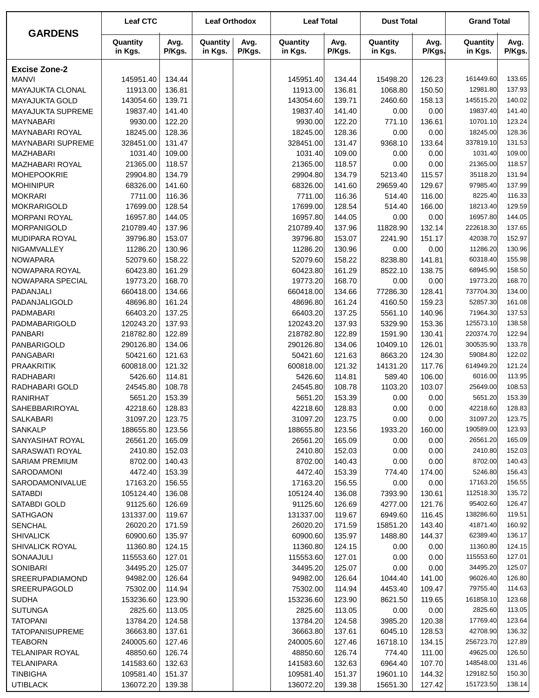| <b>GARDENS</b>           | <b>Leaf CTC</b>     |                | <b>Leaf Orthodox</b> |                | <b>Leaf Total</b>   |                | <b>Dust Total</b>   |                | <b>Grand Total</b>  |                |
|--------------------------|---------------------|----------------|----------------------|----------------|---------------------|----------------|---------------------|----------------|---------------------|----------------|
|                          | Quantity<br>in Kgs. | Avg.<br>P/Kgs. | Quantity<br>in Kgs.  | Avg.<br>P/Kgs. | Quantity<br>in Kgs. | Avg.<br>P/Kgs. | Quantity<br>in Kgs. | Avg.<br>P/Kgs. | Quantity<br>in Kgs. | Avg.<br>P/Kgs. |
| <b>Excise Zone-2</b>     |                     |                |                      |                |                     |                |                     |                |                     |                |
| <b>MANVI</b>             | 145951.40           | 134.44         |                      |                | 145951.40           | 134.44         | 15498.20            | 126.23         | 161449.60           | 133.65         |
| MAYAJUKTA CLONAL         | 11913.00            | 136.81         |                      |                | 11913.00            | 136.81         | 1068.80             | 150.50         | 12981.80            | 137.93         |
| <b>MAYAJUKTA GOLD</b>    | 143054.60           | 139.71         |                      |                | 143054.60           | 139.71         | 2460.60             | 158.13         | 145515.20           | 140.02         |
| <b>MAYAJUKTA SUPREME</b> | 19837.40            | 141.40         |                      |                | 19837.40            | 141.40         | 0.00                | 0.00           | 19837.40            | 141.40         |
| <b>MAYNABARI</b>         | 9930.00             | 122.20         |                      |                | 9930.00             | 122.20         | 771.10              | 136.61         | 10701.10            | 123.24         |
| <b>MAYNABARI ROYAL</b>   | 18245.00            | 128.36         |                      |                | 18245.00            | 128.36         | 0.00                | 0.00           | 18245.00            | 128.36         |
| <b>MAYNABARI SUPREME</b> | 328451.00           | 131.47         |                      |                | 328451.00           | 131.47         | 9368.10             | 133.64         | 337819.10           | 131.53         |
| MAZHABARI                | 1031.40             | 109.00         |                      |                | 1031.40             | 109.00         | 0.00                | 0.00           | 1031.40             | 109.00         |
| MAZHABARI ROYAL          | 21365.00            | 118.57         |                      |                | 21365.00            | 118.57         | 0.00                | 0.00           | 21365.00            | 118.57         |
| <b>MOHEPOOKRIE</b>       | 29904.80            | 134.79         |                      |                | 29904.80            | 134.79         | 5213.40             | 115.57         | 35118.20            | 131.94         |
| <b>MOHINIPUR</b>         | 68326.00            | 141.60         |                      |                | 68326.00            | 141.60         | 29659.40            | 129.67         | 97985.40            | 137.99         |
| <b>MOKRARI</b>           | 7711.00             | 116.36         |                      |                | 7711.00             | 116.36         | 514.40              | 116.00         | 8225.40             | 116.33         |
| <b>MOKRARIGOLD</b>       | 17699.00            | 128.54         |                      |                | 17699.00            | 128.54         | 514.40              | 166.00         | 18213.40            | 129.59         |
| <b>MORPANI ROYAL</b>     | 16957.80            | 144.05         |                      |                | 16957.80            | 144.05         | 0.00                | 0.00           | 16957.80            | 144.05         |
| MORPANIGOLD              | 210789.40           | 137.96         |                      |                | 210789.40           | 137.96         | 11828.90            | 132.14         | 222618.30           | 137.65         |
| MUDIPARA ROYAL           | 39796.80            | 153.07         |                      |                | 39796.80            | 153.07         | 2241.90             | 151.17         | 42038.70            | 152.97         |
| NIGAMVALLEY              | 11286.20            | 130.96         |                      |                | 11286.20            | 130.96         | 0.00                | 0.00           | 11286.20            | 130.96         |
|                          |                     | 158.22         |                      |                |                     |                |                     | 141.81         | 60318.40            | 155.98         |
| <b>NOWAPARA</b>          | 52079.60            |                |                      |                | 52079.60            | 158.22         | 8238.80             |                |                     |                |
| NOWAPARA ROYAL           | 60423.80            | 161.29         |                      |                | 60423.80            | 161.29         | 8522.10             | 138.75         | 68945.90            | 158.50         |
| NOWAPARA SPECIAL         | 19773.20            | 168.70         |                      |                | 19773.20            | 168.70         | 0.00                | 0.00           | 19773.20            | 168.70         |
| PADANJALI                | 660418.00           | 134.66         |                      |                | 660418.00           | 134.66         | 77286.30            | 128.41         | 737704.30           | 134.00         |
| PADANJALIGOLD            | 48696.80            | 161.24         |                      |                | 48696.80            | 161.24         | 4160.50             | 159.23         | 52857.30            | 161.08         |
| PADMABARI                | 66403.20            | 137.25         |                      |                | 66403.20            | 137.25         | 5561.10             | 140.96         | 71964.30            | 137.53         |
| PADMABARIGOLD            | 120243.20           | 137.93         |                      |                | 120243.20           | 137.93         | 5329.90             | 153.36         | 125573.10           | 138.58         |
| <b>PANBARI</b>           | 218782.80           | 122.89         |                      |                | 218782.80           | 122.89         | 1591.90             | 130.41         | 220374.70           | 122.94         |
| PANBARIGOLD              | 290126.80           | 134.06         |                      |                | 290126.80           | 134.06         | 10409.10            | 126.01         | 300535.90           | 133.78         |
| PANGABARI                | 50421.60            | 121.63         |                      |                | 50421.60            | 121.63         | 8663.20             | 124.30         | 59084.80            | 122.02         |
| <b>PRAAKRITIK</b>        | 600818.00           | 121.32         |                      |                | 600818.00           | 121.32         | 14131.20            | 117.76         | 614949.20           | 121.24         |
| RADHABARI                | 5426.60             | 114.81         |                      |                | 5426.60             | 114.81         | 589.40              | 106.00         | 6016.00             | 113.95         |
| RADHABARI GOLD           | 24545.80            | 108.78         |                      |                | 24545.80            | 108.78         | 1103.20             | 103.07         | 25649.00            | 108.53         |
| <b>RANIRHAT</b>          | 5651.20             | 153.39         |                      |                | 5651.20             | 153.39         | 0.00                | 0.00           | 5651.20             | 153.39         |
| SAHEBBARIROYAL           | 42218.60            | 128.83         |                      |                | 42218.60            | 128.83         | 0.00                | 0.00           | 42218.60            | 128.83         |
| <b>SALKABARI</b>         | 31097.20            | 123.75         |                      |                | 31097.20            | 123.75         | 0.00                | 0.00           | 31097.20            | 123.75         |
| SANKALP                  | 188655.80           | 123.56         |                      |                | 188655.80           | 123.56         | 1933.20             | 160.00         | 190589.00           | 123.93         |
| SANYASIHAT ROYAL         | 26561.20            | 165.09         |                      |                | 26561.20            | 165.09         | 0.00                | 0.00           | 26561.20            | 165.09         |
| SARASWATI ROYAL          | 2410.80             | 152.03         |                      |                | 2410.80             | 152.03         | 0.00                | 0.00           | 2410.80             | 152.03         |
| <b>SARIAM PREMIUM</b>    | 8702.00             | 140.43         |                      |                | 8702.00             | 140.43         | 0.00                | 0.00           | 8702.00             | 140.43         |
| SARODAMONI               | 4472.40             | 153.39         |                      |                | 4472.40             | 153.39         | 774.40              | 174.00         | 5246.80             | 156.43         |
| SARODAMONIVALUE          | 17163.20            | 156.55         |                      |                | 17163.20            | 156.55         | 0.00                | 0.00           | 17163.20            | 156.55         |
| <b>SATABDI</b>           | 105124.40           | 136.08         |                      |                | 105124.40           | 136.08         | 7393.90             | 130.61         | 112518.30           | 135.72         |
| SATABDI GOLD             | 91125.60            | 126.69         |                      |                | 91125.60            | 126.69         | 4277.00             | 121.76         | 95402.60            | 126.47         |
| <b>SATHGAON</b>          | 131337.00           | 119.67         |                      |                | 131337.00           | 119.67         | 6949.60             | 116.45         | 138286.60           | 119.51         |
| <b>SENCHAL</b>           | 26020.20            | 171.59         |                      |                | 26020.20            | 171.59         | 15851.20            | 143.40         | 41871.40            | 160.92         |
| <b>SHIVALICK</b>         | 60900.60            | 135.97         |                      |                | 60900.60            | 135.97         | 1488.80             | 144.37         | 62389.40            | 136.17         |
| SHIVALICK ROYAL          | 11360.80            | 124.15         |                      |                | 11360.80            | 124.15         | 0.00                | 0.00           | 11360.80            | 124.15         |
| SONAAJULI                | 115553.60           | 127.01         |                      |                | 115553.60           | 127.01         | 0.00                | 0.00           | 115553.60           | 127.01         |
| <b>SONIBARI</b>          | 34495.20            | 125.07         |                      |                | 34495.20            | 125.07         | 0.00                | 0.00           | 34495.20            | 125.07         |
| <b>SREERUPADIAMOND</b>   | 94982.00            | 126.64         |                      |                | 94982.00            | 126.64         | 1044.40             | 141.00         | 96026.40            | 126.80         |
| SREERUPAGOLD             | 75302.00            | 114.94         |                      |                | 75302.00            | 114.94         | 4453.40             | 109.47         | 79755.40            | 114.63         |
| <b>SUDHA</b>             | 153236.60           | 123.90         |                      |                | 153236.60           | 123.90         | 8621.50             | 119.65         | 161858.10           | 123.68         |
| <b>SUTUNGA</b>           | 2825.60             | 113.05         |                      |                | 2825.60             | 113.05         | 0.00                | 0.00           | 2825.60             | 113.05         |
| <b>TATOPANI</b>          | 13784.20            | 124.58         |                      |                | 13784.20            | 124.58         | 3985.20             | 120.38         | 17769.40            | 123.64         |
| <b>TATOPANISUPREME</b>   | 36663.80            | 137.61         |                      |                | 36663.80            | 137.61         | 6045.10             | 128.53         | 42708.90            | 136.32         |
| <b>TEABORN</b>           | 240005.60           | 127.46         |                      |                | 240005.60           | 127.46         | 16718.10            | 134.15         | 256723.70           | 127.89         |
| <b>TELANIPAR ROYAL</b>   | 48850.60            | 126.74         |                      |                | 48850.60            | 126.74         | 774.40              | 111.00         | 49625.00            | 126.50         |
| <b>TELANIPARA</b>        | 141583.60           | 132.63         |                      |                | 141583.60           | 132.63         | 6964.40             | 107.70         | 148548.00           | 131.46         |
| <b>TINBIGHA</b>          | 109581.40           | 151.37         |                      |                | 109581.40           | 151.37         | 19601.10            | 144.32         | 129182.50           | 150.30         |
| <b>UTIBLACK</b>          | 136072.20           | 139.38         |                      |                | 136072.20           | 139.38         | 15651.30            | 127.42         | 151723.50           | 138.14         |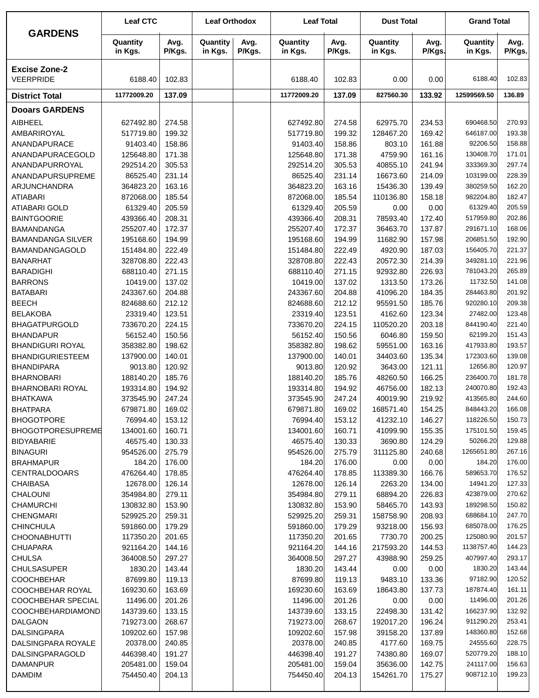|                                          | <b>Leaf CTC</b>        |                  | <b>Leaf Orthodox</b> |                | <b>Leaf Total</b>      |                  | <b>Dust Total</b>     |                  | <b>Grand Total</b>      |                  |
|------------------------------------------|------------------------|------------------|----------------------|----------------|------------------------|------------------|-----------------------|------------------|-------------------------|------------------|
| <b>GARDENS</b>                           | Quantity<br>in Kgs.    | Avg.<br>P/Kgs.   | Quantity<br>in Kgs.  | Avg.<br>P/Kgs. | Quantity<br>in Kgs.    | Avg.<br>P/Kgs.   | Quantity<br>in Kgs.   | Avg.<br>P/Kgs.   | Quantity<br>in Kgs.     | Avg.<br>P/Kgs.   |
| <b>Excise Zone-2</b><br><b>VEERPRIDE</b> | 6188.40                | 102.83           |                      |                | 6188.40                | 102.83           | 0.00                  | 0.00             | 6188.40                 | 102.83           |
| <b>District Total</b>                    | 11772009.20            | 137.09           |                      |                | 11772009.20            | 137.09           | 827560.30             | 133.92           | 12599569.50             | 136.89           |
| <b>Dooars GARDENS</b>                    |                        |                  |                      |                |                        |                  |                       |                  |                         |                  |
| <b>AIBHEEL</b>                           | 627492.80              | 274.58           |                      |                | 627492.80              | 274.58           | 62975.70              | 234.53           | 690468.50               | 270.93           |
| AMBARIROYAL                              | 517719.80              | 199.32           |                      |                | 517719.80              | 199.32           | 128467.20             | 169.42           | 646187.00               | 193.38           |
| ANANDAPURACE                             | 91403.40               | 158.86           |                      |                | 91403.40               | 158.86           | 803.10                | 161.88           | 92206.50                | 158.88           |
| ANANDAPURACEGOLD                         | 125648.80              | 171.38           |                      |                | 125648.80              | 171.38           | 4759.90               | 161.16           | 130408.70               | 171.01           |
| ANANDAPURROYAL                           | 292514.20              | 305.53           |                      |                | 292514.20              | 305.53           | 40855.10              | 241.94           | 333369.30               | 297.74           |
| ANANDAPURSUPREME                         | 86525.40               | 231.14           |                      |                | 86525.40               | 231.14           | 16673.60              | 214.09           | 103199.00               | 228.39           |
| ARJUNCHANDRA                             | 364823.20              | 163.16           |                      |                | 364823.20              | 163.16           | 15436.30              | 139.49           | 380259.50               | 162.20           |
| <b>ATIABARI</b>                          | 872068.00              | 185.54           |                      |                | 872068.00              | 185.54           | 110136.80             | 158.18           | 982204.80               | 182.47           |
| <b>ATIABARI GOLD</b>                     | 61329.40               | 205.59           |                      |                | 61329.40               | 205.59           | 0.00                  | 0.00             | 61329.40                | 205.59           |
| <b>BAINTGOORIE</b>                       | 439366.40              | 208.31           |                      |                | 439366.40              | 208.31           | 78593.40              | 172.40           | 517959.80               | 202.86           |
| <b>BAMANDANGA</b>                        | 255207.40              | 172.37           |                      |                | 255207.40              | 172.37           | 36463.70              | 137.87           | 291671.10               | 168.06           |
| <b>BAMANDANGA SILVER</b>                 | 195168.60              | 194.99           |                      |                | 195168.60              | 194.99           | 11682.90              | 157.98           | 206851.50               | 192.90           |
| BAMANDANGAGOLD<br><b>BANARHAT</b>        | 151484.80<br>328708.80 | 222.49<br>222.43 |                      |                | 151484.80<br>328708.80 | 222.49<br>222.43 | 4920.90<br>20572.30   | 187.03<br>214.39 | 156405.70<br>349281.10  | 221.37<br>221.96 |
| <b>BARADIGHI</b>                         | 688110.40              | 271.15           |                      |                | 688110.40              | 271.15           | 92932.80              | 226.93           | 781043.20               | 265.89           |
| <b>BARRONS</b>                           | 10419.00               | 137.02           |                      |                | 10419.00               | 137.02           | 1313.50               | 173.26           | 11732.50                | 141.08           |
| <b>BATABARI</b>                          | 243367.60              | 204.88           |                      |                | 243367.60              | 204.88           | 41096.20              | 184.35           | 284463.80               | 201.92           |
| <b>BEECH</b>                             | 824688.60              | 212.12           |                      |                | 824688.60              | 212.12           | 95591.50              | 185.76           | 920280.10               | 209.38           |
| <b>BELAKOBA</b>                          | 23319.40               | 123.51           |                      |                | 23319.40               | 123.51           | 4162.60               | 123.34           | 27482.00                | 123.48           |
| <b>BHAGATPURGOLD</b>                     | 733670.20              | 224.15           |                      |                | 733670.20              | 224.15           | 110520.20             | 203.18           | 844190.40               | 221.40           |
| <b>BHANDAPUR</b>                         | 56152.40               | 150.56           |                      |                | 56152.40               | 150.56           | 6046.80               | 159.50           | 62199.20                | 151.43           |
| <b>BHANDIGURI ROYAL</b>                  | 358382.80              | 198.62           |                      |                | 358382.80              | 198.62           | 59551.00              | 163.16           | 417933.80               | 193.57           |
| <b>BHANDIGURIESTEEM</b>                  | 137900.00              | 140.01           |                      |                | 137900.00              | 140.01           | 34403.60              | 135.34           | 172303.60               | 139.08           |
| <b>BHANDIPARA</b>                        | 9013.80                | 120.92           |                      |                | 9013.80                | 120.92           | 3643.00               | 121.11           | 12656.80                | 120.97           |
| <b>BHARNOBARI</b>                        | 188140.20              | 185.76           |                      |                | 188140.20              | 185.76           | 48260.50              | 166.25           | 236400.70               | 181.78           |
| <b>BHARNOBARI ROYAL</b>                  | 193314.80              | 194.92           |                      |                | 193314.80              | 194.92           | 46756.00              | 182.13           | 240070.80<br>413565.80  | 192.43<br>244.60 |
| <b>BHATKAWA</b><br><b>BHATPARA</b>       | 373545.90<br>679871.80 | 247.24<br>169.02 |                      |                | 373545.90<br>679871.80 | 247.24<br>169.02 | 40019.90<br>168571.40 | 219.92<br>154.25 | 848443.20               | 166.08           |
| <b>BHOGOTPORE</b>                        | 76994.40               | 153.12           |                      |                | 76994.40               | 153.12           | 41232.10              | 146.27           | 118226.50               | 150.73           |
| <b>BHOGOTPORESUPREME</b>                 | 134001.60              | 160.71           |                      |                | 134001.60              | 160.71           | 41099.90              | 155.35           | 175101.50               | 159.45           |
| <b>BIDYABARIE</b>                        | 46575.40               | 130.33           |                      |                | 46575.40               | 130.33           | 3690.80               | 124.29           | 50266.20                | 129.88           |
| <b>BINAGURI</b>                          | 954526.00              | 275.79           |                      |                | 954526.00              | 275.79           | 311125.80             | 240.68           | 1265651.80              | 267.16           |
| <b>BRAHMAPUR</b>                         | 184.20                 | 176.00           |                      |                | 184.20                 | 176.00           | 0.00                  | 0.00             | 184.20                  | 176.00           |
| <b>CENTRALDOOARS</b>                     | 476264.40              | 178.85           |                      |                | 476264.40              | 178.85           | 113389.30             | 166.76           | 589653.70               | 176.52           |
| <b>CHAIBASA</b>                          | 12678.00               | 126.14           |                      |                | 12678.00               | 126.14           | 2263.20               | 134.00           | 14941.20                | 127.33           |
| CHALOUNI                                 | 354984.80              | 279.11           |                      |                | 354984.80              | 279.11           | 68894.20              | 226.83           | 423879.00               | 270.62           |
| <b>CHAMURCHI</b>                         | 130832.80              | 153.90           |                      |                | 130832.80              | 153.90           | 58465.70              | 143.93           | 189298.50               | 150.82           |
| <b>CHENGMARI</b>                         | 529925.20              | 259.31           |                      |                | 529925.20              | 259.31           | 158758.90             | 208.93           | 688684.10               | 247.70           |
| <b>CHINCHULA</b>                         | 591860.00              | 179.29           |                      |                | 591860.00              | 179.29           | 93218.00              | 156.93           | 685078.00               | 176.25           |
| <b>CHOONABHUTTI</b>                      | 117350.20              | 201.65           |                      |                | 117350.20              | 201.65           | 7730.70               | 200.25           | 125080.90               | 201.57<br>144.23 |
| <b>CHUAPARA</b><br><b>CHULSA</b>         | 921164.20<br>364008.50 | 144.16<br>297.27 |                      |                | 921164.20<br>364008.50 | 144.16<br>297.27 | 217593.20<br>43988.90 | 144.53<br>259.25 | 1138757.40<br>407997.40 | 293.17           |
| <b>CHULSASUPER</b>                       | 1830.20                | 143.44           |                      |                | 1830.20                | 143.44           | 0.00                  | 0.00             | 1830.20                 | 143.44           |
| <b>COOCHBEHAR</b>                        | 87699.80               | 119.13           |                      |                | 87699.80               | 119.13           | 9483.10               | 133.36           | 97182.90                | 120.52           |
| COOCHBEHAR ROYAL                         | 169230.60              | 163.69           |                      |                | 169230.60              | 163.69           | 18643.80              | 137.73           | 187874.40               | 161.11           |
| COOCHBEHAR SPECIAL                       | 11496.00               | 201.26           |                      |                | 11496.00               | 201.26           | 0.00                  | 0.00             | 11496.00                | 201.26           |
| <b>COOCHBEHARDIAMOND</b>                 | 143739.60              | 133.15           |                      |                | 143739.60              | 133.15           | 22498.30              | 131.42           | 166237.90               | 132.92           |
| <b>DALGAON</b>                           | 719273.00              | 268.67           |                      |                | 719273.00              | 268.67           | 192017.20             | 196.24           | 911290.20               | 253.41           |
| <b>DALSINGPARA</b>                       | 109202.60              | 157.98           |                      |                | 109202.60              | 157.98           | 39158.20              | 137.89           | 148360.80               | 152.68           |
| DALSINGPARA ROYALE                       | 20378.00               | 240.85           |                      |                | 20378.00               | 240.85           | 4177.60               | 169.75           | 24555.60                | 228.75           |
| DALSINGPARAGOLD                          | 446398.40              | 191.27           |                      |                | 446398.40              | 191.27           | 74380.80              | 169.07           | 520779.20               | 188.10           |
| <b>DAMANPUR</b>                          | 205481.00              | 159.04           |                      |                | 205481.00              | 159.04           | 35636.00              | 142.75           | 241117.00               | 156.63           |
| <b>DAMDIM</b>                            | 754450.40              | 204.13           |                      |                | 754450.40              | 204.13           | 154261.70             | 175.27           | 908712.10               | 199.23           |
|                                          |                        |                  |                      |                |                        |                  |                       |                  |                         |                  |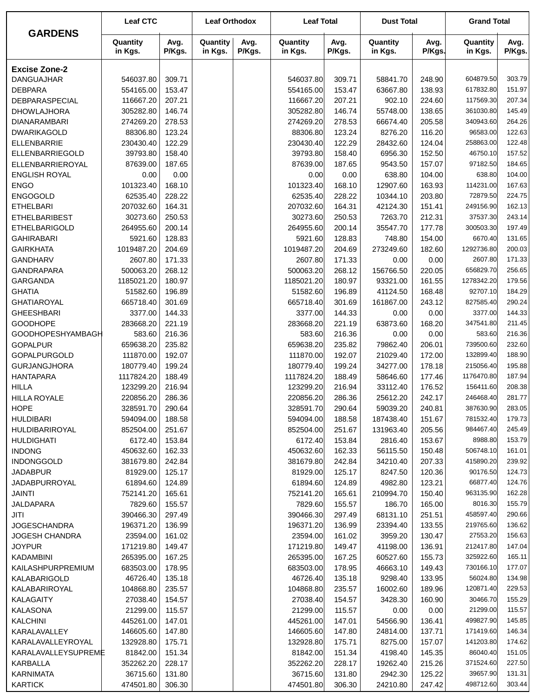|                                  | <b>Leaf CTC</b>         |                  | <b>Leaf Orthodox</b> |                | <b>Leaf Total</b>       |                  | <b>Dust Total</b>    |                  | <b>Grand Total</b>      |                  |
|----------------------------------|-------------------------|------------------|----------------------|----------------|-------------------------|------------------|----------------------|------------------|-------------------------|------------------|
| <b>GARDENS</b>                   | Quantity<br>in Kgs.     | Avg.<br>P/Kgs.   | Quantity<br>in Kgs.  | Avg.<br>P/Kgs. | Quantity<br>in Kgs.     | Avg.<br>P/Kgs.   | Quantity<br>in Kgs.  | Avg.<br>P/Kgs.   | Quantity<br>in Kgs.     | Avg.<br>P/Kgs.   |
| <b>Excise Zone-2</b>             |                         |                  |                      |                |                         |                  |                      |                  |                         |                  |
| <b>DANGUAJHAR</b>                | 546037.80               | 309.71           |                      |                | 546037.80               | 309.71           | 58841.70             | 248.90           | 604879.50               | 303.79           |
| <b>DEBPARA</b>                   | 554165.00               | 153.47           |                      |                | 554165.00               | 153.47           | 63667.80             | 138.93           | 617832.80               | 151.97           |
| DEBPARASPECIAL                   | 116667.20               | 207.21           |                      |                | 116667.20               | 207.21           | 902.10               | 224.60           | 117569.30               | 207.34           |
| <b>DHOWLAJHORA</b>               | 305282.80               | 146.74           |                      |                | 305282.80               | 146.74           | 55748.00             | 138.65           | 361030.80               | 145.49           |
| <b>DIANARAMBARI</b>              | 274269.20               | 278.53           |                      |                | 274269.20               | 278.53           | 66674.40             | 205.58           | 340943.60               | 264.26           |
| <b>DWARIKAGOLD</b>               | 88306.80                | 123.24           |                      |                | 88306.80                | 123.24           | 8276.20              | 116.20           | 96583.00                | 122.63           |
| <b>ELLENBARRIE</b>               | 230430.40               | 122.29           |                      |                | 230430.40               | 122.29           | 28432.60             | 124.04           | 258863.00               | 122.48           |
| ELLENBARRIEGOLD                  | 39793.80                | 158.40           |                      |                | 39793.80                | 158.40           | 6956.30              | 152.50           | 46750.10                | 157.52           |
| ELLENBARRIEROYAL                 | 87639.00                | 187.65           |                      |                | 87639.00                | 187.65           | 9543.50              | 157.07           | 97182.50                | 184.65           |
| <b>ENGLISH ROYAL</b>             | 0.00                    | 0.00             |                      |                | 0.00                    | 0.00             | 638.80               | 104.00           | 638.80                  | 104.00           |
| <b>ENGO</b>                      | 101323.40               | 168.10           |                      |                | 101323.40               | 168.10           | 12907.60             | 163.93           | 114231.00               | 167.63           |
| <b>ENGOGOLD</b>                  | 62535.40                | 228.22           |                      |                | 62535.40                | 228.22           | 10344.10             | 203.80           | 72879.50                | 224.75           |
| <b>ETHELBARI</b>                 | 207032.60               | 164.31           |                      |                | 207032.60               | 164.31           | 42124.30             | 151.41           | 249156.90               | 162.13           |
| <b>ETHELBARIBEST</b>             | 30273.60                | 250.53           |                      |                | 30273.60                | 250.53           | 7263.70              | 212.31           | 37537.30                | 243.14           |
| <b>ETHELBARIGOLD</b>             | 264955.60               | 200.14           |                      |                | 264955.60               | 200.14           | 35547.70             | 177.78           | 300503.30               | 197.49           |
| <b>GAHIRABARI</b>                | 5921.60                 | 128.83           |                      |                | 5921.60                 | 128.83           | 748.80               | 154.00           | 6670.40                 | 131.65           |
| <b>GAIRKHATA</b>                 | 1019487.20              | 204.69           |                      |                | 1019487.20              | 204.69           | 273249.60            | 182.60           | 1292736.80              | 200.03           |
| <b>GANDHARV</b>                  | 2607.80                 | 171.33           |                      |                | 2607.80                 | 171.33           | 0.00                 | 0.00             | 2607.80                 | 171.33           |
| <b>GANDRAPARA</b>                | 500063.20               | 268.12           |                      |                | 500063.20               | 268.12           | 156766.50            | 220.05           | 656829.70               | 256.65           |
| GARGANDA                         | 1185021.20              | 180.97           |                      |                | 1185021.20              | 180.97           | 93321.00             | 161.55           | 1278342.20              | 179.56           |
| <b>GHATIA</b>                    | 51582.60                | 196.89           |                      |                | 51582.60                | 196.89           | 41124.50             | 168.48           | 92707.10                | 184.29           |
| <b>GHATIAROYAL</b>               | 665718.40               | 301.69           |                      |                | 665718.40               | 301.69           | 161867.00            | 243.12           | 827585.40               | 290.24           |
| <b>GHEESHBARI</b>                | 3377.00                 | 144.33           |                      |                | 3377.00                 | 144.33           | 0.00                 | 0.00             | 3377.00                 | 144.33           |
| <b>GOODHOPE</b>                  | 283668.20               | 221.19           |                      |                | 283668.20               | 221.19           | 63873.60             | 168.20           | 347541.80               | 211.45           |
| <b>GOODHOPESHYAMBAGH</b>         | 583.60                  | 216.36           |                      |                | 583.60                  | 216.36           | 0.00                 | 0.00             | 583.60                  | 216.36           |
| <b>GOPALPUR</b>                  | 659638.20               | 235.82           |                      |                | 659638.20               | 235.82           | 79862.40             | 206.01           | 739500.60               | 232.60           |
| <b>GOPALPURGOLD</b>              | 111870.00               | 192.07           |                      |                | 111870.00               | 192.07           | 21029.40             | 172.00           | 132899.40               | 188.90           |
| <b>GURJANGJHORA</b>              | 180779.40<br>1117824.20 | 199.24<br>188.49 |                      |                | 180779.40<br>1117824.20 | 199.24<br>188.49 | 34277.00<br>58646.60 | 178.18<br>177.46 | 215056.40<br>1176470.80 | 195.88<br>187.94 |
| <b>HANTAPARA</b><br><b>HILLA</b> | 123299.20               | 216.94           |                      |                | 123299.20               | 216.94           | 33112.40             | 176.52           | 156411.60               | 208.38           |
| <b>HILLA ROYALE</b>              | 220856.20               | 286.36           |                      |                | 220856.20               | 286.36           | 25612.20             | 242.17           | 246468.40               | 281.77           |
| <b>HOPE</b>                      | 328591.70               | 290.64           |                      |                | 328591.70               | 290.64           | 59039.20             | 240.81           | 387630.90               | 283.05           |
| <b>HULDIBARI</b>                 | 594094.00               | 188.58           |                      |                | 594094.00               | 188.58           | 187438.40            | 151.67           | 781532.40               | 179.73           |
| HULDIBARIROYAL                   | 852504.00               | 251.67           |                      |                | 852504.00               | 251.67           | 131963.40            | 205.56           | 984467.40               | 245.49           |
| <b>HULDIGHATI</b>                | 6172.40                 | 153.84           |                      |                | 6172.40                 | 153.84           | 2816.40              | 153.67           | 8988.80                 | 153.79           |
| <b>INDONG</b>                    | 450632.60               | 162.33           |                      |                | 450632.60               | 162.33           | 56115.50             | 150.48           | 506748.10               | 161.01           |
| INDONGGOLD                       | 381679.80               | 242.84           |                      |                | 381679.80               | 242.84           | 34210.40             | 207.33           | 415890.20               | 239.92           |
| <b>JADABPUR</b>                  | 81929.00                | 125.17           |                      |                | 81929.00                | 125.17           | 8247.50              | 120.36           | 90176.50                | 124.73           |
| <b>JADABPURROYAL</b>             | 61894.60                | 124.89           |                      |                | 61894.60                | 124.89           | 4982.80              | 123.21           | 66877.40                | 124.76           |
| JAINTI                           | 752141.20               | 165.61           |                      |                | 752141.20               | 165.61           | 210994.70            | 150.40           | 963135.90               | 162.28           |
| JALDAPARA                        | 7829.60                 | 155.57           |                      |                | 7829.60                 | 155.57           | 186.70               | 165.00           | 8016.30                 | 155.79           |
| JITI                             | 390466.30               | 297.49           |                      |                | 390466.30               | 297.49           | 68131.10             | 251.51           | 458597.40               | 290.66           |
| <b>JOGESCHANDRA</b>              | 196371.20               | 136.99           |                      |                | 196371.20               | 136.99           | 23394.40             | 133.55           | 219765.60               | 136.62           |
| <b>JOGESH CHANDRA</b>            | 23594.00                | 161.02           |                      |                | 23594.00                | 161.02           | 3959.20              | 130.47           | 27553.20                | 156.63           |
| <b>JOYPUR</b>                    | 171219.80               | 149.47           |                      |                | 171219.80               | 149.47           | 41198.00             | 136.91           | 212417.80               | 147.04           |
| <b>KADAMBINI</b>                 | 265395.00               | 167.25           |                      |                | 265395.00               | 167.25           | 60527.60             | 155.73           | 325922.60               | 165.11           |
| KAILASHPURPREMIUM                | 683503.00               | 178.95           |                      |                | 683503.00               | 178.95           | 46663.10             | 149.43           | 730166.10               | 177.07           |
| KALABARIGOLD                     | 46726.40                | 135.18           |                      |                | 46726.40                | 135.18           | 9298.40              | 133.95           | 56024.80                | 134.98           |
| KALABARIROYAL                    | 104868.80               | 235.57           |                      |                | 104868.80               | 235.57           | 16002.60             | 189.96           | 120871.40               | 229.53           |
| KALAGAITY                        | 27038.40                | 154.57           |                      |                | 27038.40                | 154.57           | 3428.30              | 160.90           | 30466.70                | 155.29           |
| <b>KALASONA</b>                  | 21299.00                | 115.57           |                      |                | 21299.00                | 115.57           | 0.00                 | 0.00             | 21299.00                | 115.57           |
| <b>KALCHINI</b>                  | 445261.00               | 147.01           |                      |                | 445261.00               | 147.01           | 54566.90             | 136.41           | 499827.90               | 145.85           |
| KARALAVALLEY                     | 146605.60               | 147.80           |                      |                | 146605.60               | 147.80           | 24814.00             | 137.71           | 171419.60               | 146.34           |
| KARALAVALLEYROYAL                | 132928.80               | 175.71           |                      |                | 132928.80               | 175.71           | 8275.00              | 157.07           | 141203.80               | 174.62           |
| KARALAVALLEYSUPREME              | 81842.00                | 151.34           |                      |                | 81842.00                | 151.34           | 4198.40              | 145.35           | 86040.40                | 151.05           |
| KARBALLA                         | 352262.20               | 228.17           |                      |                | 352262.20               | 228.17           | 19262.40             | 215.26           | 371524.60               | 227.50           |
| <b>KARNIMATA</b>                 | 36715.60                | 131.80           |                      |                | 36715.60                | 131.80           | 2942.30              | 125.22           | 39657.90                | 131.31           |
| <b>KARTICK</b>                   | 474501.80               | 306.30           |                      |                | 474501.80               | 306.30           | 24210.80             | 247.42           | 498712.60               | 303.44           |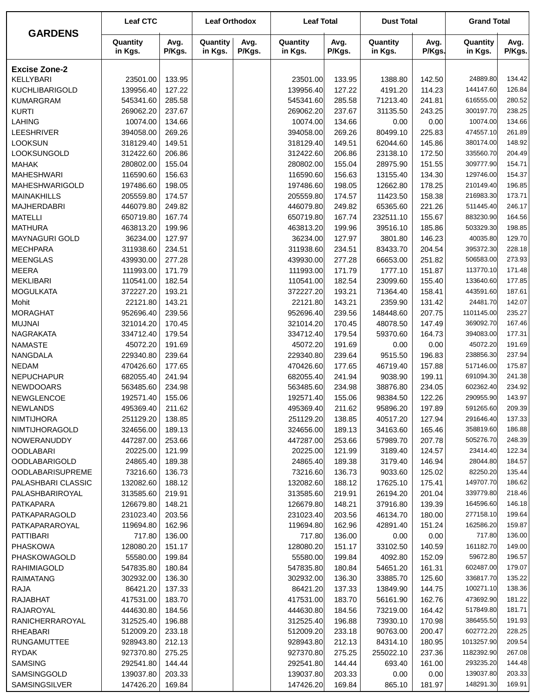|                         | <b>Leaf CTC</b>     |                | <b>Leaf Orthodox</b> |                | <b>Leaf Total</b>   |                | <b>Dust Total</b>   |                | <b>Grand Total</b>  |                |
|-------------------------|---------------------|----------------|----------------------|----------------|---------------------|----------------|---------------------|----------------|---------------------|----------------|
| <b>GARDENS</b>          | Quantity<br>in Kgs. | Avg.<br>P/Kgs. | Quantity<br>in Kgs.  | Avg.<br>P/Kgs. | Quantity<br>in Kgs. | Avg.<br>P/Kgs. | Quantity<br>in Kgs. | Avg.<br>P/Kgs. | Quantity<br>in Kgs. | Avg.<br>P/Kgs. |
| <b>Excise Zone-2</b>    |                     |                |                      |                |                     |                |                     |                |                     |                |
| <b>KELLYBARI</b>        | 23501.00            | 133.95         |                      |                | 23501.00            | 133.95         | 1388.80             | 142.50         | 24889.80            | 134.42         |
| <b>KUCHLIBARIGOLD</b>   | 139956.40           | 127.22         |                      |                | 139956.40           | 127.22         | 4191.20             | 114.23         | 144147.60           | 126.84         |
| <b>KUMARGRAM</b>        | 545341.60           | 285.58         |                      |                | 545341.60           | 285.58         | 71213.40            | 241.81         | 616555.00           | 280.52         |
| <b>KURTI</b>            | 269062.20           | 237.67         |                      |                | 269062.20           | 237.67         | 31135.50            | 243.25         | 300197.70           | 238.25         |
| <b>LAHING</b>           | 10074.00            | 134.66         |                      |                | 10074.00            | 134.66         | 0.00                | 0.00           | 10074.00            | 134.66         |
| <b>LEESHRIVER</b>       | 394058.00           | 269.26         |                      |                | 394058.00           | 269.26         | 80499.10            | 225.83         | 474557.10           | 261.89         |
| <b>LOOKSUN</b>          | 318129.40           | 149.51         |                      |                | 318129.40           | 149.51         | 62044.60            | 145.86         | 380174.00           | 148.92         |
| LOOKSUNGOLD             | 312422.60           | 206.86         |                      |                | 312422.60           | 206.86         | 23138.10            | 172.50         | 335560.70           | 204.49         |
| <b>MAHAK</b>            | 280802.00           | 155.04         |                      |                | 280802.00           | 155.04         | 28975.90            | 151.55         | 309777.90           | 154.71         |
| <b>MAHESHWARI</b>       | 116590.60           | 156.63         |                      |                | 116590.60           | 156.63         | 13155.40            | 134.30         | 129746.00           | 154.37         |
| MAHESHWARIGOLD          | 197486.60           | 198.05         |                      |                | 197486.60           | 198.05         | 12662.80            | 178.25         | 210149.40           | 196.85         |
| <b>MAINAKHILLS</b>      | 205559.80           | 174.57         |                      |                | 205559.80           | 174.57         | 11423.50            | 158.38         | 216983.30           | 173.71         |
| <b>MAJHERDABRI</b>      | 446079.80           | 249.82         |                      |                | 446079.80           | 249.82         | 65365.60            | 221.26         | 511445.40           | 246.17         |
| <b>MATELLI</b>          | 650719.80           | 167.74         |                      |                | 650719.80           | 167.74         | 232511.10           | 155.67         | 883230.90           | 164.56         |
| <b>MATHURA</b>          | 463813.20           | 199.96         |                      |                | 463813.20           | 199.96         | 39516.10            | 185.86         | 503329.30           | 198.85         |
| MAYNAGURI GOLD          | 36234.00            | 127.97         |                      |                | 36234.00            | 127.97         | 3801.80             | 146.23         | 40035.80            | 129.70         |
| <b>MECHPARA</b>         | 311938.60           | 234.51         |                      |                | 311938.60           | 234.51         | 83433.70            | 204.54         | 395372.30           | 228.18         |
| <b>MEENGLAS</b>         | 439930.00           | 277.28         |                      |                | 439930.00           | 277.28         | 66653.00            | 251.82         | 506583.00           | 273.93         |
| <b>MEERA</b>            | 111993.00           | 171.79         |                      |                | 111993.00           | 171.79         | 1777.10             | 151.87         | 113770.10           | 171.48         |
| <b>MEKLIBARI</b>        | 110541.00           | 182.54         |                      |                | 110541.00           | 182.54         | 23099.60            | 155.40         | 133640.60           | 177.85         |
| <b>MOGULKATA</b>        | 372227.20           | 193.21         |                      |                | 372227.20           | 193.21         | 71364.40            | 158.41         | 443591.60           | 187.61         |
| Mohit                   | 22121.80            | 143.21         |                      |                | 22121.80            | 143.21         | 2359.90             | 131.42         | 24481.70            | 142.07         |
| <b>MORAGHAT</b>         | 952696.40           | 239.56         |                      |                | 952696.40           | 239.56         | 148448.60           | 207.75         | 1101145.00          | 235.27         |
| <b>MUJNAI</b>           | 321014.20           | 170.45         |                      |                | 321014.20           | 170.45         | 48078.50            | 147.49         | 369092.70           | 167.46         |
| <b>NAGRAKATA</b>        | 334712.40           | 179.54         |                      |                | 334712.40           | 179.54         | 59370.60            | 164.73         | 394083.00           | 177.31         |
| <b>NAMASTE</b>          | 45072.20            | 191.69         |                      |                | 45072.20            | 191.69         | 0.00                | 0.00           | 45072.20            | 191.69         |
| NANGDALA                | 229340.80           | 239.64         |                      |                | 229340.80           | 239.64         | 9515.50             | 196.83         | 238856.30           | 237.94         |
| <b>NEDAM</b>            | 470426.60           | 177.65         |                      |                | 470426.60           | 177.65         | 46719.40            | 157.88         | 517146.00           | 175.87         |
| <b>NEPUCHAPUR</b>       | 682055.40           | 241.94         |                      |                | 682055.40           | 241.94         | 9038.90             | 199.11         | 691094.30           | 241.38         |
| <b>NEWDOOARS</b>        | 563485.60           | 234.98         |                      |                | 563485.60           | 234.98         | 38876.80            | 234.05         | 602362.40           | 234.92         |
| <b>NEWGLENCOE</b>       | 192571.40           | 155.06         |                      |                | 192571.40           | 155.06         | 98384.50            | 122.26         | 290955.90           | 143.97         |
| <b>NEWLANDS</b>         | 495369.40           | 211.62         |                      |                | 495369.40           | 211.62         | 95896.20            | 197.89         | 591265.60           | 209.39         |
| <b>NIMTIJHORA</b>       | 251129.20           | 138.85         |                      |                | 251129.20           | 138.85         | 40517.20            | 127.94         | 291646.40           | 137.33         |
| NIMTIJHORAGOLD          | 324656.00           | 189.13         |                      |                | 324656.00           | 189.13         | 34163.60            | 165.46         | 358819.60           | 186.88         |
| NOWERANUDDY             | 447287.00           | 253.66         |                      |                | 447287.00           | 253.66         | 57989.70            | 207.78         | 505276.70           | 248.39         |
| <b>OODLABARI</b>        | 20225.00            | 121.99         |                      |                | 20225.00            | 121.99         | 3189.40             | 124.57         | 23414.40            | 122.34         |
| <b>OODLABARIGOLD</b>    | 24865.40            | 189.38         |                      |                | 24865.40            | 189.38         | 3179.40             | 146.94         | 28044.80            | 184.57         |
| <b>OODLABARISUPREME</b> | 73216.60            | 136.73         |                      |                | 73216.60            | 136.73         | 9033.60             | 125.02         | 82250.20            | 135.44         |
| PALASHBARI CLASSIC      | 132082.60           | 188.12         |                      |                | 132082.60           | 188.12         | 17625.10            | 175.41         | 149707.70           | 186.62         |
| PALASHBARIROYAL         | 313585.60           | 219.91         |                      |                | 313585.60           | 219.91         | 26194.20            | 201.04         | 339779.80           | 218.46         |
| <b>PATKAPARA</b>        | 126679.80           | 148.21         |                      |                | 126679.80           | 148.21         | 37916.80            | 139.39         | 164596.60           | 146.18         |
| PATKAPARAGOLD           | 231023.40           | 203.56         |                      |                | 231023.40           | 203.56         | 46134.70            | 180.00         | 277158.10           | 199.64         |
| PATKAPARAROYAL          | 119694.80           | 162.96         |                      |                | 119694.80           | 162.96         | 42891.40            | 151.24         | 162586.20           | 159.87         |
| <b>PATTIBARI</b>        | 717.80              | 136.00         |                      |                | 717.80              | 136.00         | 0.00                | 0.00           | 717.80              | 136.00         |
| <b>PHASKOWA</b>         | 128080.20           | 151.17         |                      |                | 128080.20           | 151.17         | 33102.50            | 140.59         | 161182.70           | 149.00         |
| PHASKOWAGOLD            | 55580.00            | 199.84         |                      |                | 55580.00            | 199.84         | 4092.80             | 152.09         | 59672.80            | 196.57         |
| RAHIMIAGOLD             | 547835.80           | 180.84         |                      |                | 547835.80           | 180.84         | 54651.20            | 161.31         | 602487.00           | 179.07         |
| <b>RAIMATANG</b>        | 302932.00           | 136.30         |                      |                | 302932.00           | 136.30         | 33885.70            | 125.60         | 336817.70           | 135.22         |
| <b>RAJA</b>             | 86421.20            | 137.33         |                      |                | 86421.20            | 137.33         | 13849.90            | 144.75         | 100271.10           | 138.36         |
| RAJABHAT                | 417531.00           | 183.70         |                      |                | 417531.00           | 183.70         | 56161.90            | 162.76         | 473692.90           | 181.22         |
| RAJAROYAL               | 444630.80           | 184.56         |                      |                | 444630.80           | 184.56         | 73219.00            | 164.42         | 517849.80           | 181.71         |
| RANICHERRAROYAL         | 312525.40           | 196.88         |                      |                | 312525.40           | 196.88         | 73930.10            | 170.98         | 386455.50           | 191.93         |
| RHEABARI                | 512009.20           | 233.18         |                      |                | 512009.20           | 233.18         | 90763.00            | 200.47         | 602772.20           | 228.25         |
| <b>RUNGAMUTTEE</b>      | 928943.80           | 212.13         |                      |                | 928943.80           | 212.13         | 84314.10            | 180.95         | 1013257.90          | 209.54         |
| <b>RYDAK</b>            | 927370.80           | 275.25         |                      |                | 927370.80           | 275.25         | 255022.10           | 237.36         | 1182392.90          | 267.08         |
| <b>SAMSING</b>          | 292541.80           | 144.44         |                      |                | 292541.80           | 144.44         | 693.40              | 161.00         | 293235.20           | 144.48         |
| SAMSINGGOLD             | 139037.80           | 203.33         |                      |                | 139037.80           | 203.33         | 0.00                | 0.00           | 139037.80           | 203.33         |
| SAMSINGSILVER           | 147426.20           | 169.84         |                      |                | 147426.20           | 169.84         | 865.10              | 181.97         | 148291.30           | 169.91         |
|                         |                     |                |                      |                |                     |                |                     |                |                     |                |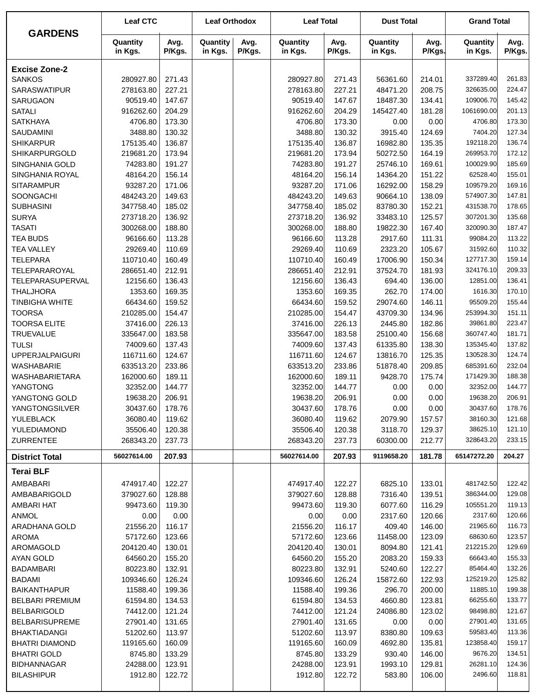| <b>GARDENS</b>                                | <b>Leaf CTC</b>       |                  | <b>Leaf Orthodox</b> |                | <b>Leaf Total</b>     |                  | <b>Dust Total</b>   |                  | <b>Grand Total</b>    |                  |
|-----------------------------------------------|-----------------------|------------------|----------------------|----------------|-----------------------|------------------|---------------------|------------------|-----------------------|------------------|
|                                               | Quantity<br>in Kgs.   | Avg.<br>P/Kgs.   | Quantity<br>in Kgs.  | Avg.<br>P/Kgs. | Quantity<br>in Kgs.   | Avg.<br>P/Kgs.   | Quantity<br>in Kgs. | Avg.<br>P/Kgs.   | Quantity<br>in Kgs.   | Avg.<br>P/Kgs.   |
| <b>Excise Zone-2</b>                          |                       |                  |                      |                |                       |                  |                     |                  |                       |                  |
| <b>SANKOS</b>                                 | 280927.80             | 271.43           |                      |                | 280927.80             | 271.43           | 56361.60            | 214.01           | 337289.40             | 261.83           |
| SARASWATIPUR                                  | 278163.80             | 227.21           |                      |                | 278163.80             | 227.21           | 48471.20            | 208.75           | 326635.00             | 224.47           |
| SARUGAON                                      | 90519.40              | 147.67           |                      |                | 90519.40              | 147.67           | 18487.30            | 134.41           | 109006.70             | 145.42           |
| <b>SATALI</b>                                 | 916262.60             | 204.29           |                      |                | 916262.60             | 204.29           | 145427.40           | 181.28           | 1061690.00            | 201.13           |
| <b>SATKHAYA</b>                               | 4706.80               | 173.30           |                      |                | 4706.80               | 173.30           | 0.00                | 0.00             | 4706.80               | 173.30           |
| SAUDAMINI                                     | 3488.80               | 130.32           |                      |                | 3488.80               | 130.32           | 3915.40             | 124.69           | 7404.20               | 127.34           |
| <b>SHIKARPUR</b>                              | 175135.40             | 136.87           |                      |                | 175135.40             | 136.87           | 16982.80            | 135.35           | 192118.20             | 136.74           |
| SHIKARPURGOLD                                 | 219681.20             | 173.94           |                      |                | 219681.20             | 173.94           | 50272.50            | 164.19           | 269953.70             | 172.12           |
| SINGHANIA GOLD                                | 74283.80              | 191.27           |                      |                | 74283.80              | 191.27           | 25746.10            | 169.61           | 100029.90             | 185.69           |
| SINGHANIA ROYAL                               | 48164.20              | 156.14           |                      |                | 48164.20              | 156.14           | 14364.20            | 151.22           | 62528.40              | 155.01           |
| <b>SITARAMPUR</b>                             | 93287.20              | 171.06           |                      |                | 93287.20              | 171.06           | 16292.00            | 158.29           | 109579.20             | 169.16           |
| SOONGACHI                                     | 484243.20             | 149.63           |                      |                | 484243.20             | 149.63           | 90664.10            | 138.09           | 574907.30             | 147.81           |
| <b>SUBHASINI</b>                              | 347758.40             | 185.02           |                      |                | 347758.40             | 185.02           | 83780.30            | 152.21           | 431538.70             | 178.65           |
| <b>SURYA</b>                                  | 273718.20             | 136.92           |                      |                | 273718.20             | 136.92           | 33483.10            | 125.57           | 307201.30             | 135.68           |
| <b>TASATI</b>                                 | 300268.00             | 188.80           |                      |                | 300268.00             | 188.80           | 19822.30            | 167.40           | 320090.30             | 187.47           |
| <b>TEA BUDS</b>                               | 96166.60              | 113.28           |                      |                | 96166.60              | 113.28           | 2917.60             | 111.31           | 99084.20              | 113.22           |
| <b>TEA VALLEY</b>                             | 29269.40              | 110.69           |                      |                | 29269.40              | 110.69           | 2323.20             | 105.67           | 31592.60              | 110.32           |
| <b>TELEPARA</b>                               | 110710.40             | 160.49           |                      |                | 110710.40             | 160.49           | 17006.90            | 150.34           | 127717.30             | 159.14<br>209.33 |
| TELEPARAROYAL<br>TELEPARASUPERVAL             | 286651.40<br>12156.60 | 212.91<br>136.43 |                      |                | 286651.40<br>12156.60 | 212.91<br>136.43 | 37524.70<br>694.40  | 181.93<br>136.00 | 324176.10<br>12851.00 | 136.41           |
| <b>THALJHORA</b>                              | 1353.60               | 169.35           |                      |                | 1353.60               | 169.35           | 262.70              | 174.00           | 1616.30               | 170.10           |
| <b>TINBIGHA WHITE</b>                         | 66434.60              | 159.52           |                      |                | 66434.60              | 159.52           | 29074.60            | 146.11           | 95509.20              | 155.44           |
| <b>TOORSA</b>                                 | 210285.00             | 154.47           |                      |                | 210285.00             | 154.47           | 43709.30            | 134.96           | 253994.30             | 151.11           |
| <b>TOORSA ELITE</b>                           | 37416.00              | 226.13           |                      |                | 37416.00              | 226.13           | 2445.80             | 182.86           | 39861.80              | 223.47           |
| <b>TRUEVALUE</b>                              | 335647.00             | 183.58           |                      |                | 335647.00             | 183.58           | 25100.40            | 156.68           | 360747.40             | 181.71           |
| <b>TULSI</b>                                  | 74009.60              | 137.43           |                      |                | 74009.60              | 137.43           | 61335.80            | 138.30           | 135345.40             | 137.82           |
| <b>UPPERJALPAIGURI</b>                        | 116711.60             | 124.67           |                      |                | 116711.60             | 124.67           | 13816.70            | 125.35           | 130528.30             | 124.74           |
| WASHABARIE                                    | 633513.20             | 233.86           |                      |                | 633513.20             | 233.86           | 51878.40            | 209.85           | 685391.60             | 232.04           |
| WASHABARIETARA                                | 162000.60             | 189.11           |                      |                | 162000.60             | 189.11           | 9428.70             | 175.74           | 171429.30             | 188.38           |
| YANGTONG                                      | 32352.00              | 144.77           |                      |                | 32352.00              | 144.77           | 0.00                | 0.00             | 32352.00              | 144.77           |
| YANGTONG GOLD                                 | 19638.20              | 206.91           |                      |                | 19638.20              | 206.91           | 0.00                | 0.00             | 19638.20              | 206.91           |
| YANGTONGSILVER                                | 30437.60              | 178.76           |                      |                | 30437.60              | 178.76           | 0.00                | 0.00             | 30437.60              | 178.76           |
| YULEBLACK                                     | 36080.40              | 119.62           |                      |                | 36080.40              | 119.62           | 2079.90             | 157.57           | 38160.30              | 121.68           |
| YULEDIAMOND                                   | 35506.40              | 120.38           |                      |                | 35506.40              | 120.38           | 3118.70             | 129.37           | 38625.10              | 121.10           |
| <b>ZURRENTEE</b>                              | 268343.20             | 237.73           |                      |                | 268343.20             | 237.73           | 60300.00            | 212.77           | 328643.20             | 233.15           |
| <b>District Total</b>                         | 56027614.00           | 207.93           |                      |                | 56027614.00           | 207.93           | 9119658.20          | 181.78           | 65147272.20           | 204.27           |
| <b>Terai BLF</b>                              |                       |                  |                      |                |                       |                  |                     |                  |                       |                  |
| AMBABARI                                      | 474917.40             | 122.27           |                      |                | 474917.40             | 122.27           | 6825.10             | 133.01           | 481742.50             | 122.42           |
| AMBABARIGOLD                                  | 379027.60             | 128.88           |                      |                | 379027.60             | 128.88           | 7316.40             | 139.51           | 386344.00             | 129.08           |
| <b>AMBARI HAT</b>                             | 99473.60              | 119.30           |                      |                | 99473.60              | 119.30           | 6077.60             | 116.29           | 105551.20             | 119.13           |
| <b>ANMOL</b>                                  | 0.00                  | 0.00             |                      |                | 0.00                  | 0.00             | 2317.60             | 120.66           | 2317.60               | 120.66           |
| ARADHANA GOLD                                 | 21556.20              | 116.17           |                      |                | 21556.20              | 116.17           | 409.40              | 146.00           | 21965.60              | 116.73           |
| <b>AROMA</b>                                  | 57172.60              | 123.66           |                      |                | 57172.60              | 123.66           | 11458.00            | 123.09           | 68630.60              | 123.57           |
| AROMAGOLD                                     | 204120.40             | 130.01           |                      |                | 204120.40             | 130.01           | 8094.80             | 121.41           | 212215.20             | 129.69           |
| AYAN GOLD                                     | 64560.20              | 155.20           |                      |                | 64560.20              | 155.20           | 2083.20             | 159.33           | 66643.40              | 155.33           |
| <b>BADAMBARI</b>                              | 80223.80              | 132.91           |                      |                | 80223.80              | 132.91           | 5240.60             | 122.27           | 85464.40              | 132.26           |
| <b>BADAMI</b>                                 | 109346.60             | 126.24           |                      |                | 109346.60             | 126.24           | 15872.60            | 122.93           | 125219.20             | 125.82           |
| <b>BAIKANTHAPUR</b><br><b>BELBARI PREMIUM</b> | 11588.40<br>61594.80  | 199.36<br>134.53 |                      |                | 11588.40<br>61594.80  | 199.36           | 296.70<br>4660.80   | 200.00<br>123.81 | 11885.10<br>66255.60  | 199.38<br>133.77 |
| <b>BELBARIGOLD</b>                            | 74412.00              | 121.24           |                      |                | 74412.00              | 134.53<br>121.24 | 24086.80            | 123.02           | 98498.80              | 121.67           |
| <b>BELBARISUPREME</b>                         | 27901.40              | 131.65           |                      |                | 27901.40              | 131.65           | 0.00                | 0.00             | 27901.40              | 131.65           |
| <b>BHAKTIADANGI</b>                           | 51202.60              | 113.97           |                      |                | 51202.60              | 113.97           | 8380.80             | 109.63           | 59583.40              | 113.36           |
| <b>BHATRI DIAMOND</b>                         | 119165.60             | 160.09           |                      |                | 119165.60             | 160.09           | 4692.80             | 135.81           | 123858.40             | 159.17           |
| <b>BHATRI GOLD</b>                            | 8745.80               | 133.29           |                      |                | 8745.80               | 133.29           | 930.40              | 146.00           | 9676.20               | 134.51           |
| <b>BIDHANNAGAR</b>                            | 24288.00              | 123.91           |                      |                | 24288.00              | 123.91           | 1993.10             | 129.81           | 26281.10              | 124.36           |
| <b>BILASHIPUR</b>                             | 1912.80               | 122.72           |                      |                | 1912.80               | 122.72           | 583.80              | 106.00           | 2496.60               | 118.81           |
|                                               |                       |                  |                      |                |                       |                  |                     |                  |                       |                  |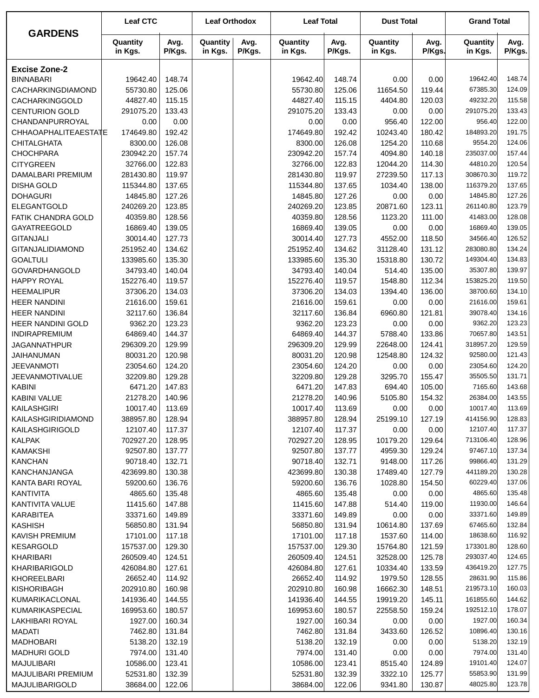|                                          | <b>Leaf CTC</b>       |                  | <b>Leaf Orthodox</b> |                | <b>Leaf Total</b>     |                  | <b>Dust Total</b>    |                  | <b>Grand Total</b>  |                  |
|------------------------------------------|-----------------------|------------------|----------------------|----------------|-----------------------|------------------|----------------------|------------------|---------------------|------------------|
| <b>GARDENS</b>                           | Quantity<br>in Kgs.   | Avg.<br>P/Kgs.   | Quantity<br>in Kgs.  | Avg.<br>P/Kgs. | Quantity<br>in Kgs.   | Avg.<br>P/Kgs.   | Quantity<br>in Kgs.  | Avg.<br>P/Kgs.   | Quantity<br>in Kgs. | Avg.<br>P/Kgs.   |
| <b>Excise Zone-2</b>                     |                       |                  |                      |                |                       |                  |                      |                  |                     |                  |
| <b>BINNABARI</b>                         | 19642.40              | 148.74           |                      |                | 19642.40              | 148.74           | 0.00                 | 0.00             | 19642.40            | 148.74           |
| CACHARKINGDIAMOND                        | 55730.80              | 125.06           |                      |                | 55730.80              | 125.06           | 11654.50             | 119.44           | 67385.30            | 124.09           |
| CACHARKINGGOLD                           | 44827.40              | 115.15           |                      |                | 44827.40              | 115.15           | 4404.80              | 120.03           | 49232.20            | 115.58           |
| <b>CENTURION GOLD</b>                    | 291075.20             | 133.43           |                      |                | 291075.20             | 133.43           | 0.00                 | 0.00             | 291075.20           | 133.43           |
| CHANDANPURROYAL                          | 0.00                  | 0.00             |                      |                | 0.00                  | 0.00             | 956.40               | 122.00           | 956.40              | 122.00           |
| CHHAOAPHALITEAESTATE                     | 174649.80             | 192.42           |                      |                | 174649.80             | 192.42           | 10243.40             | 180.42           | 184893.20           | 191.75           |
| <b>CHITALGHATA</b>                       | 8300.00               | 126.08           |                      |                | 8300.00               | 126.08           | 1254.20              | 110.68           | 9554.20             | 124.06           |
| <b>CHOCHPARA</b>                         | 230942.20             | 157.74           |                      |                | 230942.20             | 157.74           | 4094.80              | 140.18           | 235037.00           | 157.44           |
| <b>CITYGREEN</b>                         | 32766.00              | 122.83           |                      |                | 32766.00              | 122.83           | 12044.20             | 114.30           | 44810.20            | 120.54           |
| DAMALBARI PREMIUM                        | 281430.80             | 119.97           |                      |                | 281430.80             | 119.97           | 27239.50             | 117.13           | 308670.30           | 119.72           |
| <b>DISHA GOLD</b>                        | 115344.80             | 137.65           |                      |                | 115344.80             | 137.65           | 1034.40              | 138.00           | 116379.20           | 137.65           |
| <b>DOHAGURI</b>                          | 14845.80              | 127.26           |                      |                | 14845.80              | 127.26           | 0.00                 | 0.00             | 14845.80            | 127.26           |
| ELEGANTGOLD                              | 240269.20             | 123.85           |                      |                | 240269.20             | 123.85           | 20871.60             | 123.11           | 261140.80           | 123.79           |
| FATIK CHANDRA GOLD                       | 40359.80              | 128.56           |                      |                | 40359.80              | 128.56           | 1123.20              | 111.00           | 41483.00            | 128.08           |
| GAYATREEGOLD                             | 16869.40              | 139.05           |                      |                | 16869.40              | 139.05           | 0.00                 | 0.00             | 16869.40            | 139.05           |
| <b>GITANJALI</b>                         | 30014.40              | 127.73           |                      |                | 30014.40              | 127.73           | 4552.00              | 118.50           | 34566.40            | 126.52           |
| <b>GITANJALIDIAMOND</b>                  | 251952.40             | 134.62           |                      |                | 251952.40             | 134.62           | 31128.40             | 131.12           | 283080.80           | 134.24           |
| <b>GOALTULI</b>                          | 133985.60             | 135.30           |                      |                | 133985.60             | 135.30           | 15318.80             | 130.72           | 149304.40           | 134.83           |
| GOVARDHANGOLD                            | 34793.40              | 140.04           |                      |                | 34793.40              | 140.04           | 514.40               | 135.00           | 35307.80            | 139.97           |
| <b>HAPPY ROYAL</b>                       | 152276.40             | 119.57           |                      |                | 152276.40             | 119.57           | 1548.80              | 112.34           | 153825.20           | 119.50           |
| <b>HEEMALIPUR</b>                        | 37306.20              | 134.03           |                      |                | 37306.20              | 134.03           | 1394.40              | 136.00           | 38700.60            | 134.10           |
| <b>HEER NANDINI</b>                      | 21616.00              | 159.61           |                      |                | 21616.00              | 159.61           | 0.00                 | 0.00             | 21616.00            | 159.61           |
| <b>HEER NANDINI</b>                      | 32117.60              | 136.84           |                      |                | 32117.60              | 136.84           | 6960.80              | 121.81           | 39078.40            | 134.16           |
| <b>HEER NANDINI GOLD</b>                 | 9362.20               | 123.23           |                      |                | 9362.20               | 123.23           | 0.00                 | 0.00             | 9362.20<br>70657.80 | 123.23<br>143.51 |
| INDIRAPREMIUM                            | 64869.40              | 144.37           |                      |                | 64869.40              | 144.37           | 5788.40              | 133.86           | 318957.20           | 129.59           |
| <b>JAGANNATHPUR</b><br><b>JAIHANUMAN</b> | 296309.20<br>80031.20 | 129.99<br>120.98 |                      |                | 296309.20<br>80031.20 | 129.99<br>120.98 | 22648.00<br>12548.80 | 124.41<br>124.32 | 92580.00            | 121.43           |
| <b>JEEVANMOTI</b>                        | 23054.60              | 124.20           |                      |                | 23054.60              | 124.20           | 0.00                 | 0.00             | 23054.60            | 124.20           |
| <b>JEEVANMOTIVALUE</b>                   | 32209.80              | 129.28           |                      |                | 32209.80              | 129.28           | 3295.70              | 155.47           | 35505.50            | 131.71           |
| <b>KABINI</b>                            | 6471.20               | 147.83           |                      |                | 6471.20               | 147.83           | 694.40               | 105.00           | 7165.60             | 143.68           |
| KABINI VALUE                             | 21278.20              | 140.96           |                      |                | 21278.20              | 140.96           | 5105.80              | 154.32           | 26384.00            | 143.55           |
| KAILASHGIRI                              | 10017.40              | 113.69           |                      |                | 10017.40              | 113.69           | 0.00                 | 0.00             | 10017.40            | 113.69           |
| KAILASHGIRIDIAMOND                       | 388957.80             | 128.94           |                      |                | 388957.80             | 128.94           | 25199.10             | 127.19           | 414156.90           | 128.83           |
| KAILASHGIRIGOLD                          | 12107.40              | 117.37           |                      |                | 12107.40              | 117.37           | 0.00                 | 0.00             | 12107.40            | 117.37           |
| KALPAK                                   | 702927.20             | 128.95           |                      |                | 702927.20             | 128.95           | 10179.20             | 129.64           | 713106.40           | 128.96           |
| <b>KAMAKSHI</b>                          | 92507.80              | 137.77           |                      |                | 92507.80              | 137.77           | 4959.30              | 129.24           | 97467.10            | 137.34           |
| <b>KANCHAN</b>                           | 90718.40              | 132.71           |                      |                | 90718.40              | 132.71           | 9148.00              | 117.26           | 99866.40            | 131.29           |
| KANCHANJANGA                             | 423699.80             | 130.38           |                      |                | 423699.80             | 130.38           | 17489.40             | 127.79           | 441189.20           | 130.28           |
| KANTA BARI ROYAL                         | 59200.60              | 136.76           |                      |                | 59200.60              | 136.76           | 1028.80              | 154.50           | 60229.40            | 137.06           |
| KANTIVITA                                | 4865.60               | 135.48           |                      |                | 4865.60               | 135.48           | 0.00                 | 0.00             | 4865.60             | 135.48           |
| KANTIVITA VALUE                          | 11415.60              | 147.88           |                      |                | 11415.60              | 147.88           | 514.40               | 119.00           | 11930.00            | 146.64           |
| KARABITEA                                | 33371.60              | 149.89           |                      |                | 33371.60              | 149.89           | 0.00                 | 0.00             | 33371.60            | 149.89           |
| <b>KASHISH</b>                           | 56850.80              | 131.94           |                      |                | 56850.80              | 131.94           | 10614.80             | 137.69           | 67465.60            | 132.84           |
| KAVISH PREMIUM                           | 17101.00              | 117.18           |                      |                | 17101.00              | 117.18           | 1537.60              | 114.00           | 18638.60            | 116.92           |
| <b>KESARGOLD</b>                         | 157537.00             | 129.30           |                      |                | 157537.00             | 129.30           | 15764.80             | 121.59           | 173301.80           | 128.60           |
| KHARIBARI                                | 260509.40             | 124.51           |                      |                | 260509.40             | 124.51           | 32528.00             | 125.78           | 293037.40           | 124.65           |
| KHARIBARIGOLD                            | 426084.80             | 127.61           |                      |                | 426084.80             | 127.61           | 10334.40             | 133.59           | 436419.20           | 127.75           |
| KHOREELBARI                              | 26652.40              | 114.92           |                      |                | 26652.40              | 114.92           | 1979.50              | 128.55           | 28631.90            | 115.86           |
| KISHORIBAGH                              | 202910.80             | 160.98           |                      |                | 202910.80             | 160.98           | 16662.30             | 148.51           | 219573.10           | 160.03           |
| KUMARIKACLONAL                           | 141936.40             | 144.55           |                      |                | 141936.40             | 144.55           | 19919.20             | 145.11           | 161855.60           | 144.62           |
| KUMARIKASPECIAL                          | 169953.60             | 180.57           |                      |                | 169953.60             | 180.57           | 22558.50             | 159.24           | 192512.10           | 178.07           |
| LAKHIBARI ROYAL                          | 1927.00               | 160.34           |                      |                | 1927.00               | 160.34           | 0.00                 | 0.00             | 1927.00             | 160.34           |
| MADATI                                   | 7462.80               | 131.84           |                      |                | 7462.80               | 131.84           | 3433.60              | 126.52           | 10896.40            | 130.16           |
| <b>MADHOBARI</b>                         | 5138.20               | 132.19           |                      |                | 5138.20               | 132.19           | 0.00                 | 0.00             | 5138.20             | 132.19           |
| <b>MADHURI GOLD</b>                      | 7974.00               | 131.40           |                      |                | 7974.00               | 131.40           | 0.00                 | 0.00             | 7974.00             | 131.40           |
| <b>MAJULIBARI</b>                        | 10586.00              | 123.41           |                      |                | 10586.00              | 123.41           | 8515.40              | 124.89           | 19101.40            | 124.07           |
| MAJULIBARI PREMIUM                       | 52531.80              | 132.39           |                      |                | 52531.80              | 132.39           | 3322.10              | 125.77           | 55853.90            | 131.99           |
| MAJULIBARIGOLD                           | 38684.00              | 122.06           |                      |                | 38684.00              | 122.06           | 9341.80              | 130.87           | 48025.80            | 123.78           |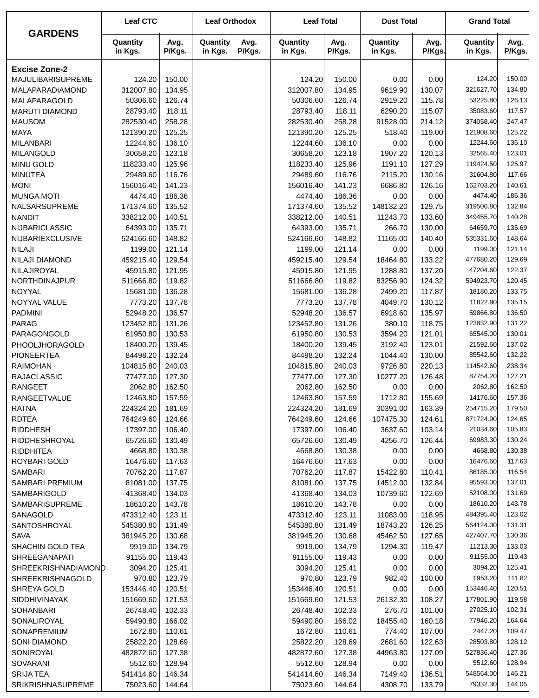|                         | <b>Leaf CTC</b>     |                | <b>Leaf Orthodox</b> |                | <b>Leaf Total</b>   |                | <b>Dust Total</b>   |                | <b>Grand Total</b>    |                  |
|-------------------------|---------------------|----------------|----------------------|----------------|---------------------|----------------|---------------------|----------------|-----------------------|------------------|
| <b>GARDENS</b>          | Quantity<br>in Kgs. | Avg.<br>P/Kgs. | Quantity<br>in Kgs.  | Avg.<br>P/Kgs. | Quantity<br>in Kgs. | Avg.<br>P/Kgs. | Quantity<br>in Kgs. | Avg.<br>P/Kgs. | Quantity<br>in Kgs.   | Avg.<br>P/Kgs.   |
| <b>Excise Zone-2</b>    |                     |                |                      |                |                     |                |                     |                |                       |                  |
| MAJULIBARISUPREME       | 124.20              | 150.00         |                      |                | 124.20              | 150.00         | 0.00                | 0.00           | 124.20                | 150.00           |
| MALAPARADIAMOND         | 312007.80           | 134.95         |                      |                | 312007.80           | 134.95         | 9619.90             | 130.07         | 321627.70             | 134.80           |
| MALAPARAGOLD            | 50306.60            | 126.74         |                      |                | 50306.60            | 126.74         | 2919.20             | 115.78         | 53225.80              | 126.13           |
| <b>MARUTI DIAMOND</b>   | 28793.40            | 118.11         |                      |                | 28793.40            | 118.11         | 6290.20             | 115.07         | 35083.60              | 117.57           |
| <b>MAUSOM</b>           | 282530.40           | 258.28         |                      |                | 282530.40           | 258.28         | 91528.00            | 214.12         | 374058.40             | 247.47           |
| <b>MAYA</b>             | 121390.20           | 125.25         |                      |                | 121390.20           | 125.25         | 518.40              | 119.00         | 121908.60             | 125.22           |
| <b>MILANBARI</b>        | 12244.60            | 136.10         |                      |                | 12244.60            | 136.10         | 0.00                | 0.00           | 12244.60              | 136.10           |
| <b>MILANGOLD</b>        | 30658.20            | 123.18         |                      |                | 30658.20            | 123.18         | 1907.20             | 120.13         | 32565.40              | 123.01           |
| <b>MINU GOLD</b>        | 118233.40           | 125.96         |                      |                | 118233.40           | 125.96         | 1191.10             | 127.29         | 119424.50             | 125.97           |
| <b>MINUTEA</b>          | 29489.60            | 116.76         |                      |                | 29489.60            | 116.76         | 2115.20             | 130.16         | 31604.80              | 117.66           |
| <b>MONI</b>             | 156016.40           | 141.23         |                      |                | 156016.40           | 141.23         | 6686.80             | 126.16         | 162703.20             | 140.61           |
| <b>MUNGA MOTI</b>       | 4474.40             | 186.36         |                      |                | 4474.40             | 186.36         | 0.00                | 0.00           | 4474.40               | 186.36           |
| NALSARSUPREME           | 171374.60           | 135.52         |                      |                | 171374.60           | 135.52         | 148132.20           | 129.75         | 319506.80             | 132.84           |
| <b>NANDIT</b>           | 338212.00           | 140.51         |                      |                | 338212.00           | 140.51         | 11243.70            | 133.60         | 349455.70             | 140.28           |
| <b>NIJBARICLASSIC</b>   | 64393.00            | 135.71         |                      |                | 64393.00            | 135.71         | 266.70              | 130.00         | 64659.70              | 135.69           |
| <b>NIJBARIEXCLUSIVE</b> | 524166.60           | 148.82         |                      |                | 524166.60           | 148.82         | 11165.00            | 140.40         | 535331.60             | 148.64           |
| <b>NILAJI</b>           | 1199.00             | 121.14         |                      |                | 1199.00             | 121.14         | 0.00                | 0.00           | 1199.00               | 121.14           |
| NILAJI DIAMOND          | 459215.40           | 129.54         |                      |                | 459215.40           | 129.54         | 18464.80            | 133.22         | 477680.20             | 129.69           |
| NILAJIROYAL             | 45915.80            | 121.95         |                      |                | 45915.80            | 121.95         | 1288.80             | 137.20         | 47204.60              | 122.37           |
| NORTHDINAJPUR           | 511666.80           | 119.82         |                      |                | 511666.80           | 119.82         | 83256.90            | 124.32         | 594923.70             | 120.45           |
| <b>NOYYAL</b>           | 15681.00            | 136.28         |                      |                | 15681.00            | 136.28         | 2499.20             | 117.87         | 18180.20              | 133.75           |
| NOYYAL VALUE            | 7773.20             | 137.78         |                      |                | 7773.20             | 137.78         | 4049.70             | 130.12         | 11822.90              | 135.15           |
| <b>PADMINI</b>          | 52948.20            | 136.57         |                      |                | 52948.20            | 136.57         | 6918.60             | 135.97         | 59866.80              | 136.50           |
| <b>PARAG</b>            | 123452.80           | 131.26         |                      |                | 123452.80           | 131.26         | 380.10              | 118.75         | 123832.90             | 131.22           |
| PARAGONGOLD             | 61950.80            | 130.53         |                      |                | 61950.80            | 130.53         | 3594.20             | 121.01         | 65545.00              | 130.01           |
| PHOOLJHORAGOLD          | 18400.20            | 139.45         |                      |                | 18400.20            | 139.45         | 3192.40             | 123.01         | 21592.60              | 137.02           |
| <b>PIONEERTEA</b>       | 84498.20            | 132.24         |                      |                | 84498.20            | 132.24         | 1044.40             | 130.00         | 85542.60              | 132.22           |
| <b>RAIMOHAN</b>         | 104815.80           | 240.03         |                      |                | 104815.80           | 240.03         | 9726.80             | 220.13         | 114542.60             | 238.34           |
| <b>RAJACLASSIC</b>      | 77477.00            | 127.30         |                      |                | 77477.00            | 127.30         | 10277.20            | 126.48         | 87754.20              | 127.21           |
| <b>RANGEET</b>          | 2062.80             | 162.50         |                      |                | 2062.80             | 162.50         | 0.00                | 0.00           | 2062.80               | 162.50           |
| <b>RANGEETVALUE</b>     | 12463.80            | 157.59         |                      |                | 12463.80            | 157.59         | 1712.80             | 155.69         | 14176.60              | 157.36           |
| <b>RATNA</b>            | 224324.20           | 181.69         |                      |                | 224324.20           | 181.69         | 30391.00            | 163.39         | 254715.20             | 179.50           |
| <b>RDTEA</b>            | 764249.60           | 124.66         |                      |                | 764249.60           | 124.66         | 107475.30           | 124.61         | 871724.90             | 124.65           |
| <b>RIDDHESH</b>         | 17397.00            | 106.40         |                      |                | 17397.00            | 106.40         | 3637.60             | 103.14         | 21034.60              | 105.83           |
| RIDDHESHROYAL           | 65726.60            | 130.49         |                      |                | 65726.60            | 130.49         | 4256.70             | 126.44         | 69983.30              | 130.24           |
| <b>RIDDHITEA</b>        | 4668.80             | 130.38         |                      |                | 4668.80             | 130.38         | 0.00                | 0.00           | 4668.80               | 130.38           |
| ROYBARI GOLD            | 16476.60            | 117.63         |                      |                | 16476.60            | 117.63         | 0.00                | 0.00           | 16476.60              | 117.63           |
| <b>SAMBARI</b>          | 70762.20            | 117.87         |                      |                | 70762.20            | 117.87         | 15422.80            | 110.41         | 86185.00              | 116.54           |
| <b>SAMBARI PREMIUM</b>  | 81081.00            | 137.75         |                      |                | 81081.00            | 137.75         | 14512.00            | 132.84         | 95593.00              | 137.01           |
| <b>SAMBARIGOLD</b>      | 41368.40            | 134.03         |                      |                | 41368.40            | 134.03         | 10739.60            | 122.69         | 52108.00              | 131.69           |
| <b>SAMBARISUPREME</b>   | 18610.20            | 143.78         |                      |                | 18610.20            | 143.78         | 0.00                | 0.00           | 18610.20              | 143.78           |
| SANAGOLD                | 473312.40           | 123.11         |                      |                | 473312.40           | 123.11         | 11083.00            | 118.95         | 484395.40             | 123.02           |
| SANTOSHROYAL            | 545380.80           | 131.49         |                      |                | 545380.80           | 131.49         | 18743.20            | 126.25         | 564124.00             | 131.31           |
| <b>SAVA</b>             | 381945.20           | 130.68         |                      |                | 381945.20           | 130.68         | 45462.50            | 127.65         | 427407.70             | 130.36           |
| SHACHIN GOLD TEA        | 9919.00             | 134.79         |                      |                | 9919.00             | 134.79         | 1294.30             | 119.47         | 11213.30              | 133.03           |
| <b>SHREEGANAPATI</b>    | 91155.00            | 119.43         |                      |                | 91155.00            | 119.43         | 0.00                | 0.00           | 91155.00<br>3094.20   | 119.43           |
| SHREEKRISHNADIAMOND     | 3094.20             | 125.41         |                      |                | 3094.20             | 125.41         | 0.00                | 0.00           | 1953.20               | 125.41<br>111.82 |
| <b>SHREEKRISHNAGOLD</b> | 970.80              | 123.79         |                      |                | 970.80<br>153446.40 | 123.79         | 982.40              | 100.00         | 153446.40             | 120.51           |
| SHREYA GOLD             | 153446.40           | 120.51         |                      |                |                     | 120.51         | 0.00                | 0.00           |                       |                  |
| <b>SIDDHIVINAYAK</b>    | 151669.60           | 121.53         |                      |                | 151669.60           | 121.53         | 26132.30            | 108.27         | 177801.90<br>27025.10 | 119.58<br>102.31 |
| <b>SOHANBARI</b>        | 26748.40            | 102.33         |                      |                | 26748.40            | 102.33         | 276.70              | 101.00         |                       |                  |
| SONALIROYAL             | 59490.80            | 166.02         |                      |                | 59490.80            | 166.02         | 18455.40            | 160.18         | 77946.20<br>2447.20   | 164.64           |
| SONAPREMIUM             | 1672.80             | 110.61         |                      |                | 1672.80             | 110.61         | 774.40              | 107.00         |                       | 109.47           |
| SONI DIAMOND            | 25822.20            | 128.69         |                      |                | 25822.20            | 128.69         | 2681.60             | 122.63         | 28503.80              | 128.12           |
| SONIROYAL               | 482872.60           | 127.38         |                      |                | 482872.60           | 127.38         | 44963.80            | 127.09         | 527836.40<br>5512.60  | 127.36<br>128.94 |
| SOVARANI                | 5512.60             | 128.94         |                      |                | 5512.60             | 128.94         | 0.00                | 0.00           | 548564.00             | 146.21           |
| <b>SRIJA TEA</b>        | 541414.60           | 146.34         |                      |                | 541414.60           | 146.34         | 7149.40             | 136.51         | 79332.30              | 144.05           |
| SRIKRISHNASUPREME       | 75023.60            | 144.64         |                      |                | 75023.60            | 144.64         | 4308.70             | 133.79         |                       |                  |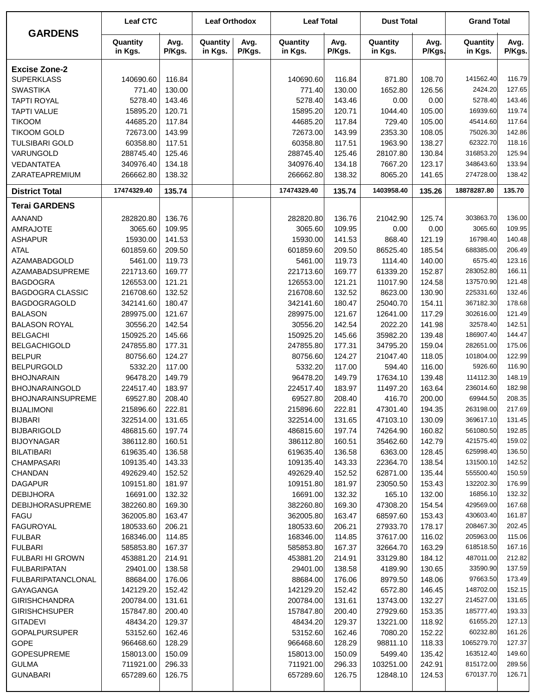|                           | <b>Leaf CTC</b>     |                | <b>Leaf Orthodox</b> |                | <b>Leaf Total</b>   |                | <b>Dust Total</b>   |                | <b>Grand Total</b>  |                |
|---------------------------|---------------------|----------------|----------------------|----------------|---------------------|----------------|---------------------|----------------|---------------------|----------------|
| <b>GARDENS</b>            | Quantity<br>in Kgs. | Avg.<br>P/Kgs. | Quantity<br>in Kgs.  | Avg.<br>P/Kgs. | Quantity<br>in Kgs. | Avg.<br>P/Kgs. | Quantity<br>in Kgs. | Avg.<br>P/Kgs. | Quantity<br>in Kgs. | Avg.<br>P/Kgs. |
| <b>Excise Zone-2</b>      |                     |                |                      |                |                     |                |                     |                |                     |                |
| <b>SUPERKLASS</b>         | 140690.60           | 116.84         |                      |                | 140690.60           | 116.84         | 871.80              | 108.70         | 141562.40           | 116.79         |
| <b>SWASTIKA</b>           | 771.40              | 130.00         |                      |                | 771.40              | 130.00         | 1652.80             | 126.56         | 2424.20             | 127.65         |
| <b>TAPTI ROYAL</b>        | 5278.40             | 143.46         |                      |                | 5278.40             | 143.46         | 0.00                | 0.00           | 5278.40             | 143.46         |
| <b>TAPTI VALUE</b>        | 15895.20            | 120.71         |                      |                | 15895.20            | 120.71         | 1044.40             | 105.00         | 16939.60            | 119.74         |
| <b>TIKOOM</b>             | 44685.20            | 117.84         |                      |                | 44685.20            | 117.84         | 729.40              | 105.00         | 45414.60            | 117.64         |
| <b>TIKOOM GOLD</b>        | 72673.00            | 143.99         |                      |                | 72673.00            | 143.99         | 2353.30             | 108.05         | 75026.30            | 142.86         |
| <b>TULSIBARI GOLD</b>     | 60358.80            | 117.51         |                      |                | 60358.80            | 117.51         | 1963.90             | 138.27         | 62322.70            | 118.16         |
| VARUNGOLD                 | 288745.40           | 125.46         |                      |                | 288745.40           | 125.46         | 28107.80            | 130.84         | 316853.20           | 125.94         |
| VEDANTATEA                | 340976.40           | 134.18         |                      |                | 340976.40           | 134.18         | 7667.20             | 123.17         | 348643.60           | 133.94         |
| ZARATEAPREMIUM            | 266662.80           | 138.32         |                      |                | 266662.80           | 138.32         | 8065.20             | 141.65         | 274728.00           | 138.42         |
| <b>District Total</b>     | 17474329.40         | 135.74         |                      |                | 17474329.40         | 135.74         | 1403958.40          | 135.26         | 18878287.80         | 135.70         |
| <b>Terai GARDENS</b>      |                     |                |                      |                |                     |                |                     |                |                     |                |
| <b>AANAND</b>             | 282820.80           | 136.76         |                      |                | 282820.80           | 136.76         | 21042.90            | 125.74         | 303863.70           | 136.00         |
| <b>AMRAJOTE</b>           | 3065.60             | 109.95         |                      |                | 3065.60             | 109.95         | 0.00                | 0.00           | 3065.60             | 109.95         |
| <b>ASHAPUR</b>            | 15930.00            | 141.53         |                      |                | 15930.00            | 141.53         | 868.40              | 121.19         | 16798.40            | 140.48         |
| <b>ATAL</b>               | 601859.60           | 209.50         |                      |                | 601859.60           | 209.50         | 86525.40            | 185.54         | 688385.00           | 206.49         |
| <b>AZAMABADGOLD</b>       | 5461.00             | 119.73         |                      |                | 5461.00             | 119.73         | 1114.40             | 140.00         | 6575.40             | 123.16         |
| AZAMABADSUPREME           | 221713.60           | 169.77         |                      |                | 221713.60           | 169.77         | 61339.20            | 152.87         | 283052.80           | 166.11         |
| <b>BAGDOGRA</b>           | 126553.00           | 121.21         |                      |                | 126553.00           | 121.21         | 11017.90            | 124.58         | 137570.90           | 121.48         |
| <b>BAGDOGRA CLASSIC</b>   | 216708.60           | 132.52         |                      |                | 216708.60           | 132.52         | 8623.00             | 130.90         | 225331.60           | 132.46         |
| <b>BAGDOGRAGOLD</b>       | 342141.60           | 180.47         |                      |                | 342141.60           | 180.47         | 25040.70            | 154.11         | 367182.30           | 178.68         |
| <b>BALASON</b>            | 289975.00           | 121.67         |                      |                | 289975.00           | 121.67         | 12641.00            | 117.29         | 302616.00           | 121.49         |
| <b>BALASON ROYAL</b>      | 30556.20            | 142.54         |                      |                | 30556.20            | 142.54         | 2022.20             | 141.98         | 32578.40            | 142.51         |
| <b>BELGACHI</b>           | 150925.20           | 145.66         |                      |                | 150925.20           | 145.66         | 35982.20            | 139.48         | 186907.40           | 144.47         |
| <b>BELGACHIGOLD</b>       | 247855.80           | 177.31         |                      |                | 247855.80           | 177.31         | 34795.20            | 159.04         | 282651.00           | 175.06         |
| <b>BELPUR</b>             | 80756.60            | 124.27         |                      |                | 80756.60            | 124.27         | 21047.40            | 118.05         | 101804.00           | 122.99         |
| <b>BELPURGOLD</b>         | 5332.20             | 117.00         |                      |                | 5332.20             | 117.00         | 594.40              | 116.00         | 5926.60             | 116.90         |
| <b>BHOJNARAIN</b>         | 96478.20            | 149.79         |                      |                | 96478.20            | 149.79         | 17634.10            | 139.48         | 114112.30           | 148.19         |
| <b>BHOJNARAINGOLD</b>     | 224517.40           | 183.97         |                      |                | 224517.40           | 183.97         | 11497.20            | 163.64         | 236014.60           | 182.98         |
| <b>BHOJNARAINSUPREME</b>  | 69527.80            | 208.40         |                      |                | 69527.80            | 208.40         | 416.70              | 200.00         | 69944.50            | 208.35         |
| <b>BIJALIMONI</b>         | 215896.60           | 222.81         |                      |                | 215896.60           | 222.81         | 47301.40            | 194.35         | 263198.00           | 217.69         |
| <b>BIJBARI</b>            | 322514.00           | 131.65         |                      |                | 322514.00           | 131.65         | 47103.10            | 130.09         | 369617.10           | 131.45         |
| <b>BIJBARIGOLD</b>        | 486815.60           | 197.74         |                      |                | 486815.60           | 197.74         | 74264.90            | 160.82         | 561080.50           | 192.85         |
| <b>BIJOYNAGAR</b>         | 386112.80           | 160.51         |                      |                | 386112.80           | 160.51         | 35462.60            | 142.79         | 421575.40           | 159.02         |
| <b>BILATIBARI</b>         | 619635.40           | 136.58         |                      |                | 619635.40           | 136.58         | 6363.00             | 128.45         | 625998.40           | 136.50         |
| CHAMPASARI                | 109135.40           | 143.33         |                      |                | 109135.40           | 143.33         | 22364.70            | 138.54         | 131500.10           | 142.52         |
| <b>CHANDAN</b>            | 492629.40           | 152.52         |                      |                | 492629.40           | 152.52         | 62871.00            | 135.44         | 555500.40           | 150.59         |
| <b>DAGAPUR</b>            | 109151.80           | 181.97         |                      |                | 109151.80           | 181.97         | 23050.50            | 153.43         | 132202.30           | 176.99         |
| <b>DEBIJHORA</b>          | 16691.00            | 132.32         |                      |                | 16691.00            | 132.32         | 165.10              | 132.00         | 16856.10            | 132.32         |
| <b>DEBIJHORASUPREME</b>   | 382260.80           | 169.30         |                      |                | 382260.80           | 169.30         | 47308.20            | 154.54         | 429569.00           | 167.68         |
| <b>FAGU</b>               | 362005.80           | 163.47         |                      |                | 362005.80           | 163.47         | 68597.60            | 153.43         | 430603.40           | 161.87         |
| <b>FAGUROYAL</b>          | 180533.60           | 206.21         |                      |                | 180533.60           | 206.21         | 27933.70            | 178.17         | 208467.30           | 202.45         |
| <b>FULBAR</b>             | 168346.00           | 114.85         |                      |                | 168346.00           | 114.85         | 37617.00            | 116.02         | 205963.00           | 115.06         |
| <b>FULBARI</b>            | 585853.80           | 167.37         |                      |                | 585853.80           | 167.37         | 32664.70            | 163.29         | 618518.50           | 167.16         |
| FULBARI HI GROWN          | 453881.20           | 214.91         |                      |                | 453881.20           | 214.91         | 33129.80            | 184.12         | 487011.00           | 212.82         |
| <b>FULBARIPATAN</b>       | 29401.00            | 138.58         |                      |                | 29401.00            | 138.58         | 4189.90             | 130.65         | 33590.90            | 137.59         |
| <b>FULBARIPATANCLONAL</b> | 88684.00            | 176.06         |                      |                | 88684.00            | 176.06         | 8979.50             | 148.06         | 97663.50            | 173.49         |
| GAYAGANGA                 | 142129.20           | 152.42         |                      |                | 142129.20           | 152.42         | 6572.80             | 146.45         | 148702.00           | 152.15         |
| <b>GIRISHCHANDRA</b>      | 200784.00           | 131.61         |                      |                | 200784.00           | 131.61         | 13743.00            | 132.27         | 214527.00           | 131.65         |
| <b>GIRISHCHSUPER</b>      | 157847.80           | 200.40         |                      |                | 157847.80           | 200.40         | 27929.60            | 153.35         | 185777.40           | 193.33         |
| <b>GITADEVI</b>           | 48434.20            | 129.37         |                      |                | 48434.20            | 129.37         | 13221.00            | 118.92         | 61655.20            | 127.13         |
| <b>GOPALPURSUPER</b>      | 53152.60            | 162.46         |                      |                | 53152.60            | 162.46         | 7080.20             | 152.22         | 60232.80            | 161.26         |
| <b>GOPE</b>               | 966468.60           | 128.29         |                      |                | 966468.60           | 128.29         | 98811.10            | 118.33         | 1065279.70          | 127.37         |
| <b>GOPESUPREME</b>        | 158013.00           | 150.09         |                      |                | 158013.00           | 150.09         | 5499.40             | 135.42         | 163512.40           | 149.60         |
| <b>GULMA</b>              | 711921.00           | 296.33         |                      |                | 711921.00           | 296.33         | 103251.00           | 242.91         | 815172.00           | 289.56         |
| <b>GUNABARI</b>           | 657289.60           | 126.75         |                      |                | 657289.60           | 126.75         | 12848.10            | 124.53         | 670137.70           | 126.71         |
|                           |                     |                |                      |                |                     |                |                     |                |                     |                |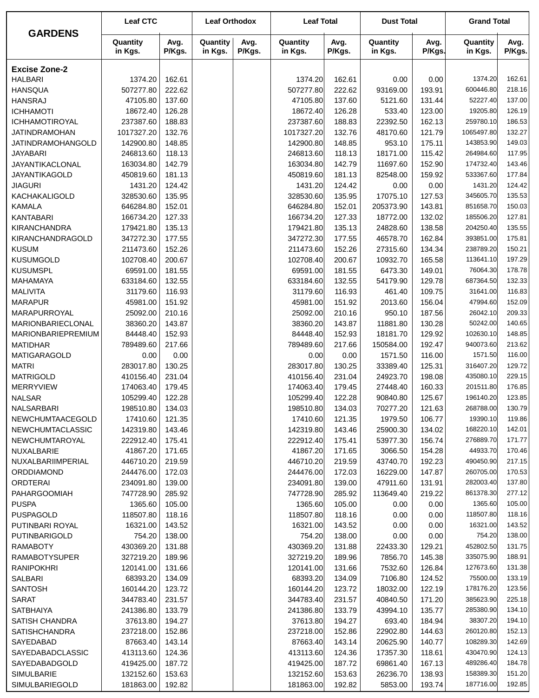|                                      | <b>Leaf CTC</b>        |                  | <b>Leaf Orthodox</b> |                | <b>Leaf Total</b>      |                  | <b>Dust Total</b>    |                  | <b>Grand Total</b>     |                  |
|--------------------------------------|------------------------|------------------|----------------------|----------------|------------------------|------------------|----------------------|------------------|------------------------|------------------|
| <b>GARDENS</b>                       | Quantity<br>in Kgs.    | Avg.<br>P/Kgs.   | Quantity<br>in Kgs.  | Avg.<br>P/Kgs. | Quantity<br>in Kgs.    | Avg.<br>P/Kgs.   | Quantity<br>in Kgs.  | Avg.<br>P/Kgs.   | Quantity<br>in Kgs.    | Avg.<br>P/Kgs.   |
| <b>Excise Zone-2</b>                 |                        |                  |                      |                |                        |                  |                      |                  |                        |                  |
| <b>HALBARI</b>                       | 1374.20                | 162.61           |                      |                | 1374.20                | 162.61           | 0.00                 | 0.00             | 1374.20                | 162.61           |
| <b>HANSQUA</b>                       | 507277.80              | 222.62           |                      |                | 507277.80              | 222.62           | 93169.00             | 193.91           | 600446.80              | 218.16           |
| <b>HANSRAJ</b>                       | 47105.80               | 137.60           |                      |                | 47105.80               | 137.60           | 5121.60              | 131.44           | 52227.40               | 137.00           |
| <b>ICHHAMOTI</b>                     | 18672.40               | 126.28           |                      |                | 18672.40               | 126.28           | 533.40               | 123.00           | 19205.80               | 126.19           |
| ICHHAMOTIROYAL                       | 237387.60              | 188.83           |                      |                | 237387.60              | 188.83           | 22392.50             | 162.13           | 259780.10              | 186.53           |
| <b>JATINDRAMOHAN</b>                 | 1017327.20             | 132.76           |                      |                | 1017327.20             | 132.76           | 48170.60             | 121.79           | 1065497.80             | 132.27           |
| JATINDRAMOHANGOLD                    | 142900.80              | 148.85           |                      |                | 142900.80              | 148.85           | 953.10               | 175.11           | 143853.90              | 149.03           |
| <b>JAYABARI</b>                      | 246813.60              | 118.13           |                      |                | 246813.60              | 118.13           | 18171.00             | 115.42           | 264984.60              | 117.95           |
| JAYANTIKACLONAL                      | 163034.80              | 142.79           |                      |                | 163034.80              | 142.79           | 11697.60             | 152.90           | 174732.40              | 143.46           |
| <b>JAYANTIKAGOLD</b>                 | 450819.60              | 181.13           |                      |                | 450819.60              | 181.13           | 82548.00             | 159.92           | 533367.60              | 177.84           |
| <b>JIAGURI</b>                       | 1431.20                | 124.42           |                      |                | 1431.20                | 124.42           | 0.00                 | 0.00             | 1431.20                | 124.42           |
| KACHAKALIGOLD                        | 328530.60              | 135.95           |                      |                | 328530.60              | 135.95           | 17075.10             | 127.53           | 345605.70              | 135.53           |
| <b>KAMALA</b>                        | 646284.80              | 152.01           |                      |                | 646284.80              | 152.01           | 205373.90            | 143.81           | 851658.70              | 150.03           |
| <b>KANTABARI</b>                     | 166734.20              | 127.33           |                      |                | 166734.20              | 127.33           | 18772.00             | 132.02           | 185506.20              | 127.81           |
| <b>KIRANCHANDRA</b>                  | 179421.80              | 135.13           |                      |                | 179421.80              | 135.13           | 24828.60             | 138.58           | 204250.40              | 135.55           |
| KIRANCHANDRAGOLD                     | 347272.30              | 177.55           |                      |                | 347272.30              | 177.55           | 46578.70             | 162.84           | 393851.00              | 175.81           |
| <b>KUSUM</b>                         | 211473.60              | 152.26           |                      |                | 211473.60              | 152.26           | 27315.60             | 134.34           | 238789.20              | 150.21           |
| <b>KUSUMGOLD</b>                     | 102708.40              | 200.67           |                      |                | 102708.40              | 200.67           | 10932.70             | 165.58           | 113641.10              | 197.29           |
| <b>KUSUMSPL</b>                      | 69591.00               | 181.55           |                      |                | 69591.00               | 181.55           | 6473.30              | 149.01           | 76064.30               | 178.78           |
| <b>MAHAMAYA</b>                      | 633184.60              | 132.55           |                      |                | 633184.60              | 132.55           | 54179.90             | 129.78           | 687364.50              | 132.33           |
| <b>MALIVITA</b>                      | 31179.60               | 116.93           |                      |                | 31179.60               | 116.93           | 461.40               | 109.75           | 31641.00               | 116.83           |
| <b>MARAPUR</b>                       | 45981.00               | 151.92           |                      |                | 45981.00               | 151.92           | 2013.60              | 156.04           | 47994.60               | 152.09           |
| MARAPURROYAL                         | 25092.00               | 210.16           |                      |                | 25092.00               | 210.16           | 950.10               | 187.56           | 26042.10               | 209.33           |
| MARIONBARIECLONAL                    | 38360.20               | 143.87           |                      |                | 38360.20               | 143.87           | 11881.80             | 130.28           | 50242.00               | 140.65           |
| MARIONBARIEPREMIUM                   | 84448.40               | 152.93           |                      |                | 84448.40               | 152.93           | 18181.70             | 129.92           | 102630.10              | 148.85           |
| <b>MATIDHAR</b>                      | 789489.60              | 217.66           |                      |                | 789489.60              | 217.66           | 150584.00            | 192.47           | 940073.60              | 213.62           |
| <b>MATIGARAGOLD</b>                  | 0.00                   | 0.00             |                      |                | 0.00                   | 0.00             | 1571.50              | 116.00           | 1571.50                | 116.00           |
| <b>MATRI</b>                         | 283017.80              | 130.25           |                      |                | 283017.80              | 130.25           | 33389.40             | 125.31           | 316407.20<br>435080.10 | 129.72           |
| <b>MATRIGOLD</b><br><b>MERRYVIEW</b> | 410156.40<br>174063.40 | 231.04<br>179.45 |                      |                | 410156.40<br>174063.40 | 231.04<br>179.45 | 24923.70<br>27448.40 | 198.08           | 201511.80              | 229.15<br>176.85 |
| <b>NALSAR</b>                        | 105299.40              | 122.28           |                      |                |                        | 122.28           | 90840.80             | 160.33<br>125.67 | 196140.20              | 123.85           |
| NALSARBARI                           | 198510.80              | 134.03           |                      |                | 105299.40<br>198510.80 | 134.03           | 70277.20             | 121.63           | 268788.00              | 130.79           |
| NEWCHUMTAACEGOLD                     | 17410.60               | 121.35           |                      |                | 17410.60               | 121.35           | 1979.50              | 106.77           | 19390.10               | 119.86           |
| <b>NEWCHUMTACLASSIC</b>              | 142319.80              | 143.46           |                      |                | 142319.80              | 143.46           | 25900.30             | 134.02           | 168220.10              | 142.01           |
| NEWCHUMTAROYAL                       | 222912.40              | 175.41           |                      |                | 222912.40              | 175.41           | 53977.30             | 156.74           | 276889.70              | 171.77           |
| NUXALBARIE                           | 41867.20               | 171.65           |                      |                | 41867.20               | 171.65           | 3066.50              | 154.28           | 44933.70               | 170.46           |
| NUXALBARIIMPERIAL                    | 446710.20              | 219.59           |                      |                | 446710.20              | 219.59           | 43740.70             | 192.23           | 490450.90              | 217.15           |
| <b>ORDDIAMOND</b>                    | 244476.00              | 172.03           |                      |                | 244476.00              | 172.03           | 16229.00             | 147.87           | 260705.00              | 170.53           |
| <b>ORDTERAI</b>                      | 234091.80              | 139.00           |                      |                | 234091.80              | 139.00           | 47911.60             | 131.91           | 282003.40              | 137.80           |
| <b>PAHARGOOMIAH</b>                  | 747728.90              | 285.92           |                      |                | 747728.90              | 285.92           | 113649.40            | 219.22           | 861378.30              | 277.12           |
| <b>PUSPA</b>                         | 1365.60                | 105.00           |                      |                | 1365.60                | 105.00           | 0.00                 | 0.00             | 1365.60                | 105.00           |
| <b>PUSPAGOLD</b>                     | 118507.80              | 118.16           |                      |                | 118507.80              | 118.16           | 0.00                 | 0.00             | 118507.80              | 118.16           |
| PUTINBARI ROYAL                      | 16321.00               | 143.52           |                      |                | 16321.00               | 143.52           | 0.00                 | 0.00             | 16321.00               | 143.52           |
| PUTINBARIGOLD                        | 754.20                 | 138.00           |                      |                | 754.20                 | 138.00           | 0.00                 | 0.00             | 754.20                 | 138.00           |
| <b>RAMABOTY</b>                      | 430369.20              | 131.88           |                      |                | 430369.20              | 131.88           | 22433.30             | 129.21           | 452802.50              | 131.75           |
| <b>RAMABOTYSUPER</b>                 | 327219.20              | 189.96           |                      |                | 327219.20              | 189.96           | 7856.70              | 145.38           | 335075.90              | 188.91           |
| <b>RANIPOKHRI</b>                    | 120141.00              | 131.66           |                      |                | 120141.00              | 131.66           | 7532.60              | 126.84           | 127673.60              | 131.38           |
| SALBARI                              | 68393.20               | 134.09           |                      |                | 68393.20               | 134.09           | 7106.80              | 124.52           | 75500.00               | 133.19           |
| <b>SANTOSH</b>                       | 160144.20              | 123.72           |                      |                | 160144.20              | 123.72           | 18032.00             | 122.19           | 178176.20              | 123.56           |
| <b>SARAT</b>                         | 344783.40              | 231.57           |                      |                | 344783.40              | 231.57           | 40840.50             | 171.20           | 385623.90              | 225.18           |
| SATBHAIYA                            | 241386.80              | 133.79           |                      |                | 241386.80              | 133.79           | 43994.10             | 135.77           | 285380.90              | 134.10           |
| SATISH CHANDRA                       | 37613.80               | 194.27           |                      |                | 37613.80               | 194.27           | 693.40               | 184.94           | 38307.20               | 194.10           |
| <b>SATISHCHANDRA</b>                 | 237218.00              | 152.86           |                      |                | 237218.00              | 152.86           | 22902.80             | 144.63           | 260120.80              | 152.13           |
| SAYEDABAD                            | 87663.40               | 143.14           |                      |                | 87663.40               | 143.14           | 20625.90             | 140.77           | 108289.30              | 142.69           |
| SAYEDABADCLASSIC                     | 413113.60              | 124.36           |                      |                | 413113.60              | 124.36           | 17357.30             | 118.61           | 430470.90              | 124.13           |
| SAYEDABADGOLD                        | 419425.00              | 187.72           |                      |                | 419425.00              | 187.72           | 69861.40             | 167.13           | 489286.40              | 184.78           |
| SIMULBARIE                           | 132152.60              | 153.63           |                      |                | 132152.60              | 153.63           | 26236.70             | 138.93           | 158389.30              | 151.20           |
| SIMULBARIEGOLD                       | 181863.00              | 192.82           |                      |                | 181863.00              | 192.82           | 5853.00              | 193.74           | 187716.00              | 192.85           |